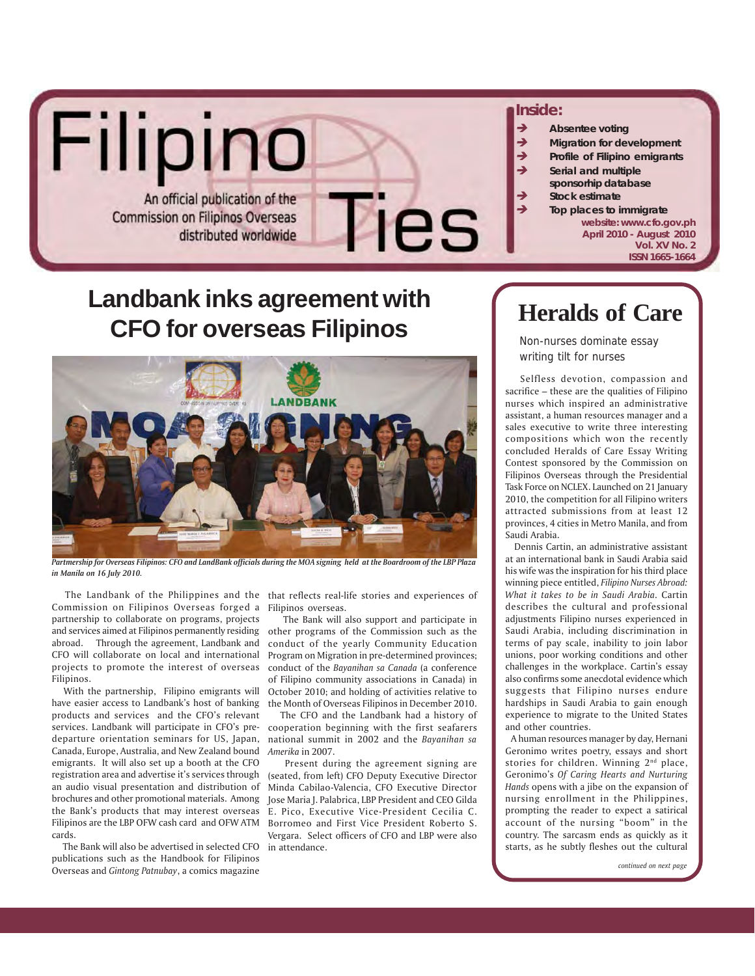

# **Landbank inks agreement with CFO for overseas Filipinos**



*Partmership for Overseas Filipinos: CFO and LandBank officials during the MOA signing held at the Boardroom of the LBP Plaza in Manila on 16 July 2010.*

Commission on Filipinos Overseas forged a Filipinos overseas. partnership to collaborate on programs, projects and services aimed at Filipinos permanently residing abroad. Through the agreement, Landbank and CFO will collaborate on local and international projects to promote the interest of overseas Filipinos.

 With the partnership, Filipino emigrants will have easier access to Landbank's host of banking products and services and the CFO's relevant services. Landbank will participate in CFO's predeparture orientation seminars for US, Japan, Canada, Europe, Australia, and New Zealand bound emigrants. It will also set up a booth at the CFO registration area and advertise it's services through an audio visual presentation and distribution of brochures and other promotional materials. Among the Bank's products that may interest overseas Filipinos are the LBP OFW cash card and OFW ATM cards.

 The Bank will also be advertised in selected CFO publications such as the Handbook for Filipinos Overseas and *Gintong Patnubay*, a comics magazine

The Landbank of the Philippines and the that reflects real-life stories and experiences of

 The Bank will also support and participate in other programs of the Commission such as the conduct of the yearly Community Education Program on Migration in pre-determined provinces; conduct of the *Bayanihan sa Canada* (a conference of Filipino community associations in Canada) in October 2010; and holding of activities relative to the Month of Overseas Filipinos in December 2010.

 The CFO and the Landbank had a history of cooperation beginning with the first seafarers national summit in 2002 and the *Bayanihan sa Amerika* in 2007.

 Present during the agreement signing are (seated, from left) CFO Deputy Executive Director Minda Cabilao-Valencia, CFO Executive Director Jose Maria J. Palabrica, LBP President and CEO Gilda E. Pico, Executive Vice-President Cecilia C. Borromeo and First Vice President Roberto S. Vergara. Select officers of CFO and LBP were also in attendance.

## **Heralds of Care**

Non-nurses dominate essay writing tilt for nurses

 Selfless devotion, compassion and sacrifice – these are the qualities of Filipino nurses which inspired an administrative assistant, a human resources manager and a sales executive to write three interesting compositions which won the recently concluded Heralds of Care Essay Writing Contest sponsored by the Commission on Filipinos Overseas through the Presidential Task Force on NCLEX. Launched on 21 January 2010, the competition for all Filipino writers attracted submissions from at least 12 provinces, 4 cities in Metro Manila, and from Saudi Arabia.

 Dennis Cartin, an administrative assistant at an international bank in Saudi Arabia said his wife was the inspiration for his third place winning piece entitled, *Filipino Nurses Abroad: What it takes to be in Saudi Arabia.* Cartin describes the cultural and professional adjustments Filipino nurses experienced in Saudi Arabia, including discrimination in terms of pay scale, inability to join labor unions, poor working conditions and other challenges in the workplace. Cartin's essay also confirms some anecdotal evidence which suggests that Filipino nurses endure hardships in Saudi Arabia to gain enough experience to migrate to the United States and other countries.

 A human resources manager by day, Hernani Geronimo writes poetry, essays and short stories for children. Winning 2<sup>nd</sup> place, Geronimo's *Of Caring Hearts and Nurturing Hands* opens with a jibe on the expansion of nursing enrollment in the Philippines, prompting the reader to expect a satirical account of the nursing "boom" in the country. The sarcasm ends as quickly as it starts, as he subtly fleshes out the cultural

*continued on next page*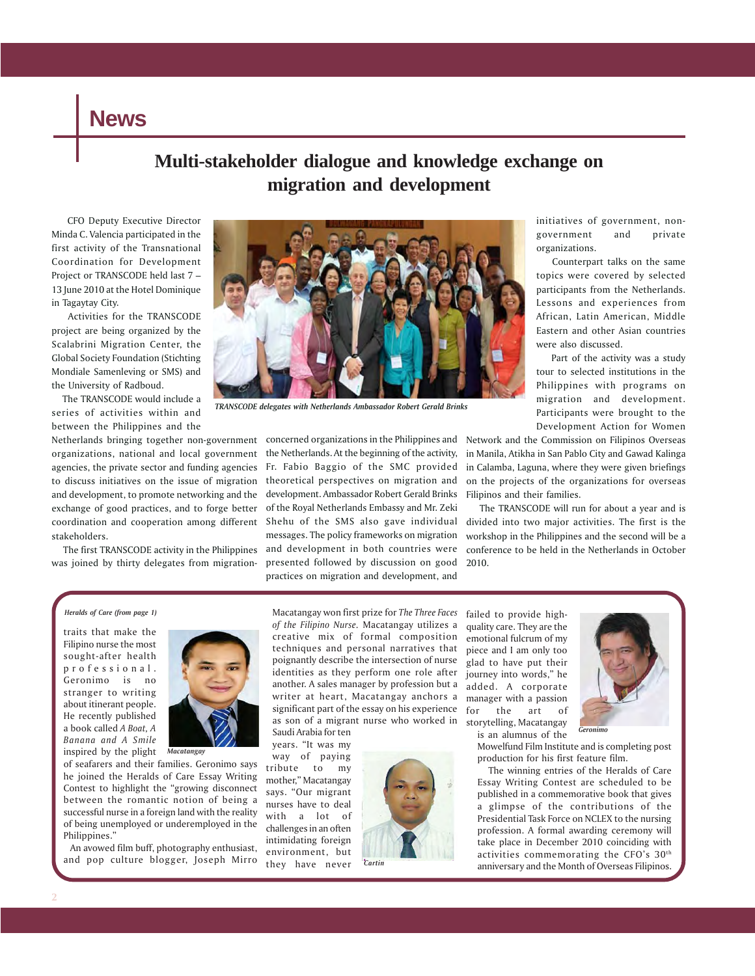### **News**

### **Multi-stakeholder dialogue and knowledge exchange on migration and development**

 CFO Deputy Executive Director Minda C. Valencia participated in the first activity of the Transnational Coordination for Development Project or TRANSCODE held last 7 – 13 June 2010 at the Hotel Dominique in Tagaytay City.

 Activities for the TRANSCODE project are being organized by the Scalabrini Migration Center, the Global Society Foundation (Stichting Mondiale Samenleving or SMS) and the University of Radboud.

 The TRANSCODE would include a series of activities within and between the Philippines and the

organizations, national and local government agencies, the private sector and funding agencies to discuss initiatives on the issue of migration and development, to promote networking and the exchange of good practices, and to forge better coordination and cooperation among different Shehu of the SMS also gave individual stakeholders.

 The first TRANSCODE activity in the Philippines was joined by thirty delegates from migration-



*TRANSCODE delegates with Netherlands Ambassador Robert Gerald Brinks*

Netherlands bringing together non-government concerned organizations in the Philippines and the Netherlands. At the beginning of the activity, Fr. Fabio Baggio of the SMC provided theoretical perspectives on migration and development. Ambassador Robert Gerald Brinks of the Royal Netherlands Embassy and Mr. Zeki messages. The policy frameworks on migration and development in both countries were presented followed by discussion on good practices on migration and development, and

initiatives of government, nongovernment and private organizations.

 Counterpart talks on the same topics were covered by selected participants from the Netherlands. Lessons and experiences from African, Latin American, Middle Eastern and other Asian countries were also discussed.

 Part of the activity was a study tour to selected institutions in the Philippines with programs on migration and development. Participants were brought to the Development Action for Women

Network and the Commission on Filipinos Overseas in Manila, Atikha in San Pablo City and Gawad Kalinga in Calamba, Laguna, where they were given briefings on the projects of the organizations for overseas Filipinos and their families.

 The TRANSCODE will run for about a year and is divided into two major activities. The first is the workshop in the Philippines and the second will be a conference to be held in the Netherlands in October 2010.

#### *Heralds of Care (from page 1)*

traits that make the Filipino nurse the most sought-after health professional. Geronimo is no stranger to writing about itinerant people. He recently published a book called *A Boat, A Banana and A Smile* inspired by the plight

of seafarers and their families. Geronimo says he joined the Heralds of Care Essay Writing Contest to highlight the "growing disconnect between the romantic notion of being a successful nurse in a foreign land with the reality of being unemployed or underemployed in the Philippines."

*Macatangay*

 An avowed film buff, photography enthusiast, and pop culture blogger, Joseph Mirro Macatangay won first prize for *The Three Faces of the Filipino Nurse.* Macatangay utilizes a creative mix of formal composition techniques and personal narratives that poignantly describe the intersection of nurse identities as they perform one role after another. A sales manager by profession but a writer at heart, Macatangay anchors a significant part of the essay on his experience as son of a migrant nurse who worked in Saudi Arabia for ten

years. "It was my way of paying tribute to my mother," Macatangay says. "Our migrant nurses have to deal with a lot of challenges in an often intimidating foreign environment, but they have never



failed to provide highquality care. They are the emotional fulcrum of my piece and I am only too glad to have put their journey into words," he added. A corporate manager with a passion for the art of storytelling, Macatangay is an alumnus of the



Mowelfund Film Institute and is completing post production for his first feature film.

 The winning entries of the Heralds of Care Essay Writing Contest are scheduled to be published in a commemorative book that gives a glimpse of the contributions of the Presidential Task Force on NCLEX to the nursing profession. A formal awarding ceremony will take place in December 2010 coinciding with activities commemorating the CFO's 30th anniversary and the Month of Overseas Filipinos.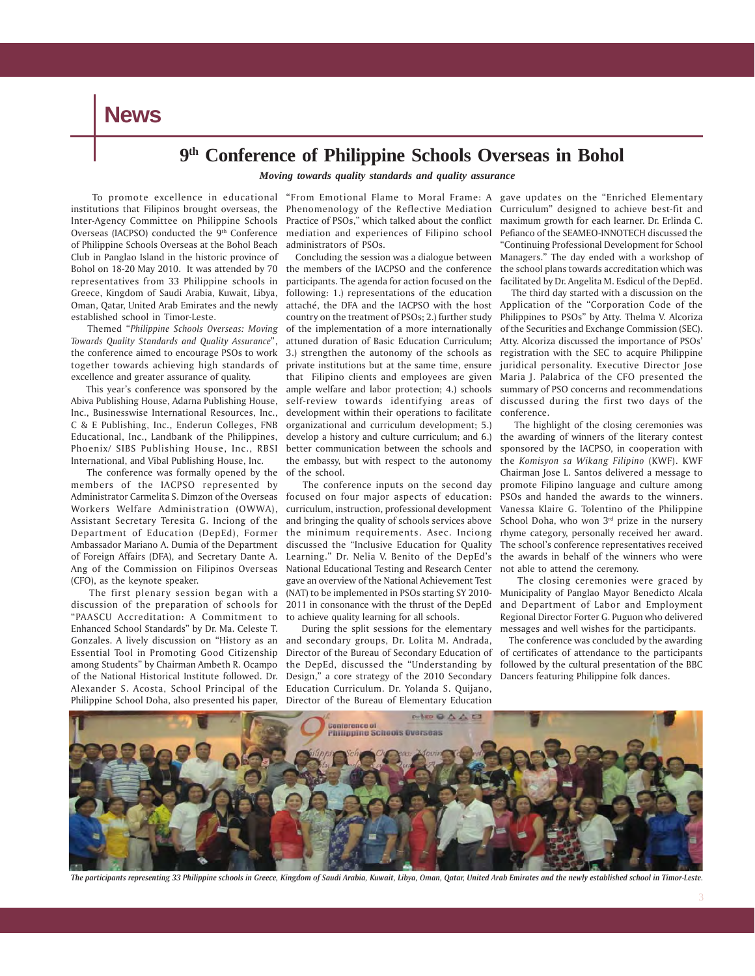**News**

### **9th Conference of Philippine Schools Overseas in Bohol**

*Moving towards quality standards and quality assurance*

 To promote excellence in educational "From Emotional Flame to Moral Frame: A gave updates on the "Enriched Elementary institutions that Filipinos brought overseas, the Inter-Agency Committee on Philippine Schools Overseas (IACPSO) conducted the 9<sup>th</sup> Conference of Philippine Schools Overseas at the Bohol Beach Club in Panglao Island in the historic province of Bohol on 18-20 May 2010. It was attended by 70 representatives from 33 Philippine schools in Greece, Kingdom of Saudi Arabia, Kuwait, Libya, Oman, Qatar, United Arab Emirates and the newly established school in Timor-Leste.

 Themed "*Philippine Schools Overseas: Moving Towards Quality Standards and Quality Assurance*", the conference aimed to encourage PSOs to work together towards achieving high standards of excellence and greater assurance of quality.

 This year's conference was sponsored by the Abiva Publishing House, Adarna Publishing House, Inc., Businesswise International Resources, Inc., C & E Publishing, Inc., Enderun Colleges, FNB Educational, Inc., Landbank of the Philippines, Phoenix/ SIBS Publishing House, Inc., RBSI International, and Vibal Publishing House, Inc.

 The conference was formally opened by the members of the IACPSO represented by Administrator Carmelita S. Dimzon of the Overseas Workers Welfare Administration (OWWA), Assistant Secretary Teresita G. Inciong of the Department of Education (DepEd), Former Ambassador Mariano A. Dumia of the Department of Foreign Affairs (DFA), and Secretary Dante A. Ang of the Commission on Filipinos Overseas (CFO), as the keynote speaker.

 The first plenary session began with a discussion of the preparation of schools for "PAASCU Accreditation: A Commitment to Enhanced School Standards" by Dr. Ma. Celeste T. Gonzales. A lively discussion on "History as an and secondary groups, Dr. Lolita M. Andrada, Essential Tool in Promoting Good Citizenship Director of the Bureau of Secondary Education of among Students" by Chairman Ambeth R. Ocampo the DepEd, discussed the "Understanding by of the National Historical Institute followed. Dr. Design," a core strategy of the 2010 Secondary Alexander S. Acosta, School Principal of the Education Curriculum. Dr. Yolanda S. Quijano, Philippine School Doha, also presented his paper, Director of the Bureau of Elementary Education

Phenomenology of the Reflective Mediation Curriculum" designed to achieve best-fit and Practice of PSOs," which talked about the conflict mediation and experiences of Filipino school administrators of PSOs.

 Concluding the session was a dialogue between the members of the IACPSO and the conference participants. The agenda for action focused on the following: 1.) representations of the education attaché, the DFA and the IACPSO with the host country on the treatment of PSOs; 2.) further study of the implementation of a more internationally attuned duration of Basic Education Curriculum; 3.) strengthen the autonomy of the schools as private institutions but at the same time, ensure that Filipino clients and employees are given ample welfare and labor protection; 4.) schools self-review towards identifying areas of development within their operations to facilitate organizational and curriculum development; 5.) develop a history and culture curriculum; and 6.) better communication between the schools and the embassy, but with respect to the autonomy of the school.

 The conference inputs on the second day focused on four major aspects of education: curriculum, instruction, professional development and bringing the quality of schools services above the minimum requirements. Asec. Inciong discussed the "Inclusive Education for Quality Learning." Dr. Nelia V. Benito of the DepEd's National Educational Testing and Research Center gave an overview of the National Achievement Test (NAT) to be implemented in PSOs starting SY 2010- 2011 in consonance with the thrust of the DepEd to achieve quality learning for all schools.

During the split sessions for the elementary

maximum growth for each learner. Dr. Erlinda C. Pefianco of the SEAMEO-INNOTECH discussed the "Continuing Professional Development for School Managers." The day ended with a workshop of the school plans towards accreditation which was facilitated by Dr. Angelita M. Esdicul of the DepEd.

 The third day started with a discussion on the Application of the "Corporation Code of the Philippines to PSOs" by Atty. Thelma V. Alcoriza of the Securities and Exchange Commission (SEC). Atty. Alcoriza discussed the importance of PSOs' registration with the SEC to acquire Philippine juridical personality. Executive Director Jose Maria J. Palabrica of the CFO presented the summary of PSO concerns and recommendations discussed during the first two days of the conference.

 The highlight of the closing ceremonies was the awarding of winners of the literary contest sponsored by the IACPSO, in cooperation with the *Komisyon sa Wikang Filipino* (KWF). KWF Chairman Jose L. Santos delivered a message to promote Filipino language and culture among PSOs and handed the awards to the winners. Vanessa Klaire G. Tolentino of the Philippine School Doha, who won  $3<sup>rd</sup>$  prize in the nursery rhyme category, personally received her award. The school's conference representatives received the awards in behalf of the winners who were not able to attend the ceremony.

 The closing ceremonies were graced by Municipality of Panglao Mayor Benedicto Alcala and Department of Labor and Employment Regional Director Forter G. Puguon who delivered messages and well wishes for the participants.

 The conference was concluded by the awarding of certificates of attendance to the participants followed by the cultural presentation of the BBC Dancers featuring Philippine folk dances.



*The participants representing 33 Philippine schools in Greece, Kingdom of Saudi Arabia, Kuwait, Libya, Oman, Qatar, United Arab Emirates and the newly established school in Timor-Leste.*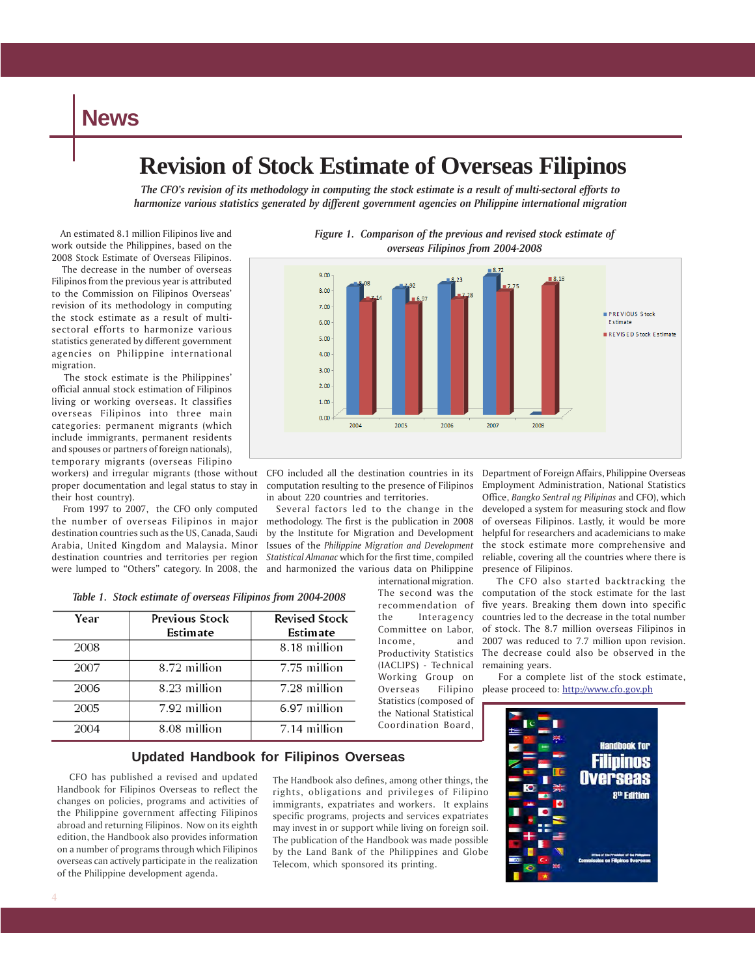### **News**

### **Revision of Stock Estimate of Overseas Filipinos**

*The CFO's revision of its methodology in computing the stock estimate is a result of multi-sectoral efforts to harmonize various statistics generated by different government agencies on Philippine international migration*

 An estimated 8.1 million Filipinos live and work outside the Philippines, based on the 2008 Stock Estimate of Overseas Filipinos.

 The decrease in the number of overseas Filipinos from the previous year is attributed to the Commission on Filipinos Overseas' revision of its methodology in computing the stock estimate as a result of multisectoral efforts to harmonize various statistics generated by different government agencies on Philippine international migration.

 The stock estimate is the Philippines' official annual stock estimation of Filipinos living or working overseas. It classifies overseas Filipinos into three main categories: permanent migrants (which include immigrants, permanent residents and spouses or partners of foreign nationals), temporary migrants (overseas Filipino

workers) and irregular migrants (those without CFO included all the destination countries in its proper documentation and legal status to stay in their host country).

 From 1997 to 2007, the CFO only computed the number of overseas Filipinos in major destination countries such as the US, Canada, Saudi Arabia, United Kingdom and Malaysia. Minor destination countries and territories per region *Statistical Almanac* which for the first time, compiled were lumped to "Others" category. In 2008, the and harmonized the various data on Philippine

| Year | <b>Previous Stock</b><br>Estimate | <b>Revised Stock</b><br>Estimate |
|------|-----------------------------------|----------------------------------|
| 2008 |                                   | 8.18 million                     |
| 2007 | 8.72 million                      | 7.75 million                     |
| 2006 | 8.23 million                      | 7.28 million                     |
| 2005 | 7.92 million                      | 6.97 million                     |
| 2004 | 8.08 million                      | 7.14 million                     |

*Table 1. Stock estimate of overseas Filipinos from 2004-2008*

**Updated Handbook for Filipinos Overseas**

 CFO has published a revised and updated Handbook for Filipinos Overseas to reflect the changes on policies, programs and activities of the Philippine government affecting Filipinos abroad and returning Filipinos. Now on its eighth edition, the Handbook also provides information on a number of programs through which Filipinos overseas can actively participate in the realization of the Philippine development agenda.

The Handbook also defines, among other things, the rights, obligations and privileges of Filipino immigrants, expatriates and workers. It explains specific programs, projects and services expatriates may invest in or support while living on foreign soil. The publication of the Handbook was made possible by the Land Bank of the Philippines and Globe Telecom, which sponsored its printing.



*Figure 1. Comparison of the previous and revised stock estimate of*

computation resulting to the presence of Filipinos in about 220 countries and territories.

 Several factors led to the change in the methodology. The first is the publication in 2008 by the Institute for Migration and Development Issues of the *Philippine Migration and Development*

> international migration. The second was the recommendation of the Interagency Committee on Labor, Income, and Productivity Statistics (IACLIPS) - Technical Working Group on Overseas Filipino Statistics (composed of the National Statistical Coordination Board,

Department of Foreign Affairs, Philippine Overseas Employment Administration, National Statistics Office, *Bangko Sentral ng Pilipinas* and CFO), which developed a system for measuring stock and flow of overseas Filipinos. Lastly, it would be more helpful for researchers and academicians to make the stock estimate more comprehensive and reliable, covering all the countries where there is presence of Filipinos.

 The CFO also started backtracking the computation of the stock estimate for the last five years. Breaking them down into specific countries led to the decrease in the total number of stock. The 8.7 million overseas Filipinos in 2007 was reduced to 7.7 million upon revision. The decrease could also be observed in the remaining years.

 For a complete list of the stock estimate, please proceed to: http://www.cfo.gov.ph

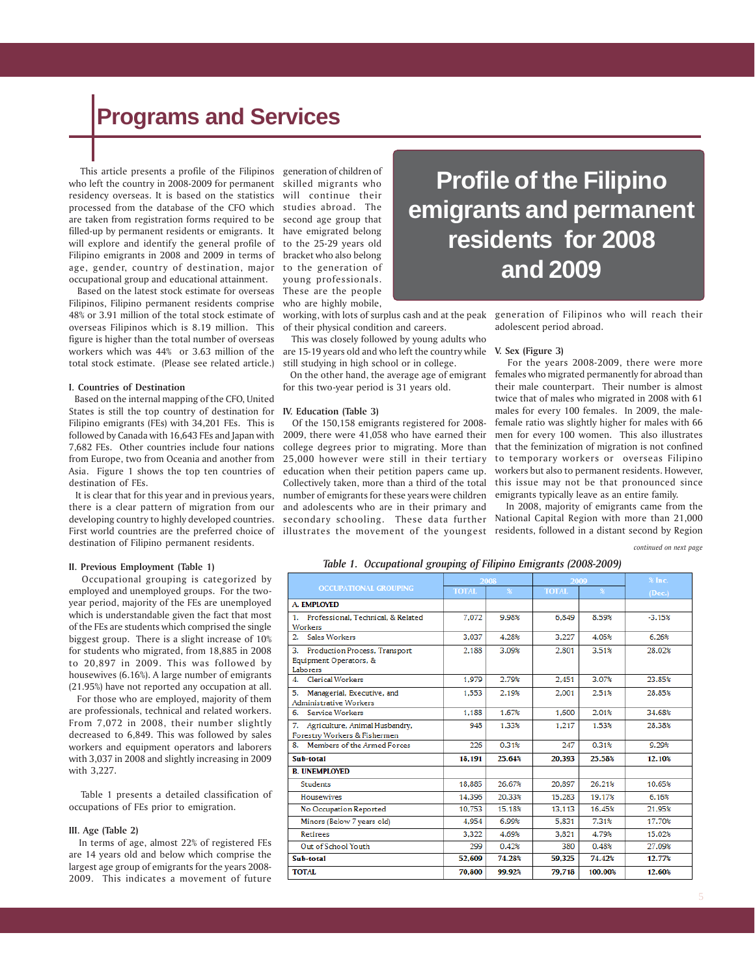# **Programs and Services**

 This article presents a profile of the Filipinos generation of children of who left the country in 2008-2009 for permanent skilled migrants who residency overseas. It is based on the statistics processed from the database of the CFO which are taken from registration forms required to be filled-up by permanent residents or emigrants. It will explore and identify the general profile of Filipino emigrants in 2008 and 2009 in terms of age, gender, country of destination, major to the generation of occupational group and educational attainment.

 Based on the latest stock estimate for overseas Filipinos, Filipino permanent residents comprise 48% or 3.91 million of the total stock estimate of overseas Filipinos which is 8.19 million. This figure is higher than the total number of overseas workers which was 44% or 3.63 million of the total stock estimate. (Please see related article.)

#### **I. Countries of Destination**

 Based on the internal mapping of the CFO, United States is still the top country of destination for **IV. Education (Table 3)** Filipino emigrants (FEs) with 34,201 FEs. This is followed by Canada with 16,643 FEs and Japan with 7,682 FEs. Other countries include four nations from Europe, two from Oceania and another from Asia. Figure 1 shows the top ten countries of destination of FEs.

 It is clear that for this year and in previous years, there is a clear pattern of migration from our developing country to highly developed countries. First world countries are the preferred choice of destination of Filipino permanent residents.

#### **II. Previous Employment (Table 1)**

 Occupational grouping is categorized by employed and unemployed groups. For the twoyear period, majority of the FEs are unemployed which is understandable given the fact that most of the FEs are students which comprised the single biggest group. There is a slight increase of 10% for students who migrated, from 18,885 in 2008 to 20,897 in 2009. This was followed by housewives (6.16%). A large number of emigrants (21.95%) have not reported any occupation at all.

 For those who are employed, majority of them are professionals, technical and related workers. From 7,072 in 2008, their number slightly decreased to 6,849. This was followed by sales workers and equipment operators and laborers with 3,037 in 2008 and slightly increasing in 2009 with 3,227.

 Table 1 presents a detailed classification of occupations of FEs prior to emigration.

#### **III. Age (Table 2)**

 In terms of age, almost 22% of registered FEs are 14 years old and below which comprise the largest age group of emigrants for the years 2008- 2009. This indicates a movement of future

will continue their studies abroad. The second age group that have emigrated belong to the 25-29 years old bracket who also belong young professionals. These are the people who are highly mobile,

working, with lots of surplus cash and at the peak of their physical condition and careers.

 This was closely followed by young adults who are 15-19 years old and who left the country while still studying in high school or in college.

 On the other hand, the average age of emigrant for this two-year period is 31 years old.

 Of the 150,158 emigrants registered for 2008- 2009, there were 41,058 who have earned their college degrees prior to migrating. More than 25,000 however were still in their tertiary education when their petition papers came up. Collectively taken, more than a third of the total number of emigrants for these years were children and adolescents who are in their primary and secondary schooling. These data further illustrates the movement of the youngest residents, followed in a distant second by Region

**Profile of the Filipino emigrants and permanent residents for 2008 and 2009**

> generation of Filipinos who will reach their adolescent period abroad.

#### **V. Sex (Figure 3)**

 For the years 2008-2009, there were more females who migrated permanently for abroad than their male counterpart. Their number is almost twice that of males who migrated in 2008 with 61 males for every 100 females. In 2009, the malefemale ratio was slightly higher for males with 66 men for every 100 women. This also illustrates that the feminization of migration is not confined to temporary workers or overseas Filipino workers but also to permanent residents. However, this issue may not be that pronounced since emigrants typically leave as an entire family.

 In 2008, majority of emigrants came from the National Capital Region with more than 21,000

*continued on next page*

*Table 1. Occupational grouping of Filipino Emigrants (2008-2009)*

|                                                                           |              | 2008         | 2009         |                           | $%$ Inc. |
|---------------------------------------------------------------------------|--------------|--------------|--------------|---------------------------|----------|
| <b>OCCUPATIONAL GROUPING</b>                                              | <b>TOTAL</b> | $\mathbf{x}$ | <b>TOTAL</b> | $\boldsymbol{\mathsf{x}}$ | (Dec.)   |
| A. EMPLOYED                                                               |              |              |              |                           |          |
| Professional, Technical, & Related<br>1.<br>Workers                       | 7.072        | 9.98%        | 6.849        | 8.59%                     | $-3.15%$ |
| Sales Workers<br>2.                                                       | 3.037        | 4.28%        | 3.227        | 4.05%                     | 6.26%    |
| з.<br>Production Process, Transport<br>Equipment Operators, &<br>Laborers | 2.188        | 3.09%        | 2.801        | 3.51%                     | 28.02%   |
| <b>Clerical Workers</b><br>4.                                             | 1.979        | 2.79%        | 2.451        | 3.07%                     | 23.85%   |
| Managerial, Executive, and<br>5.<br><b>Administrative Workers</b>         | 1.553        | 2.19%        | 2.001        | 2.51%                     | 28.85%   |
| Service Workers<br>6.                                                     | 1.188        | 1.67%        | 1.600        | 2.01%                     | 34.68%   |
| 7.<br>Agriculture, Animal Husbandry,<br>Forestry Workers & Fishermen      | 948          | 1.33%        | 1.217        | 1.53%                     | 28.38%   |
| Members of the Armed Forces<br>8.                                         | 226          | 0.31%        | 247          | 0.31%                     | 9.29%    |
| Sub-total                                                                 | 18.191       | 25.64%       | 20.393       | 25.58%                    | 12.10%   |
| <b>B. UNEMPLOYED</b>                                                      |              |              |              |                           |          |
| <b>Students</b>                                                           | 18.885       | 26.67%       | 20.897       | 26.21%                    | 10.65%   |
| <b>Housewives</b>                                                         | 14.396       | 20.33%       | 15,283       | 19.17%                    | 6.16%    |
| No Occupation Reported                                                    | 10.753       | 15.18%       | 13.113       | 16.45%                    | 21.95%   |
| Minors (Below 7 years old)                                                | 4.954        | 6.99%        | 5.831        | 7.31%                     | 17.70%   |
| <b>Retirees</b>                                                           | 3.322        | 4.69%        | 3.821        | 4.79%                     | 15.02%   |
| Out of School Youth                                                       | 299          | 0.42%        | 380          | 0.48%                     | 27.09%   |
| Sub-total                                                                 | 52.609       | 74.28%       | 59.325       | 74.42%                    | 12.77%   |
| <b>TOTAL</b>                                                              | 70.800       | 99.92%       | 79.718       | 100.00%                   | 12.60%   |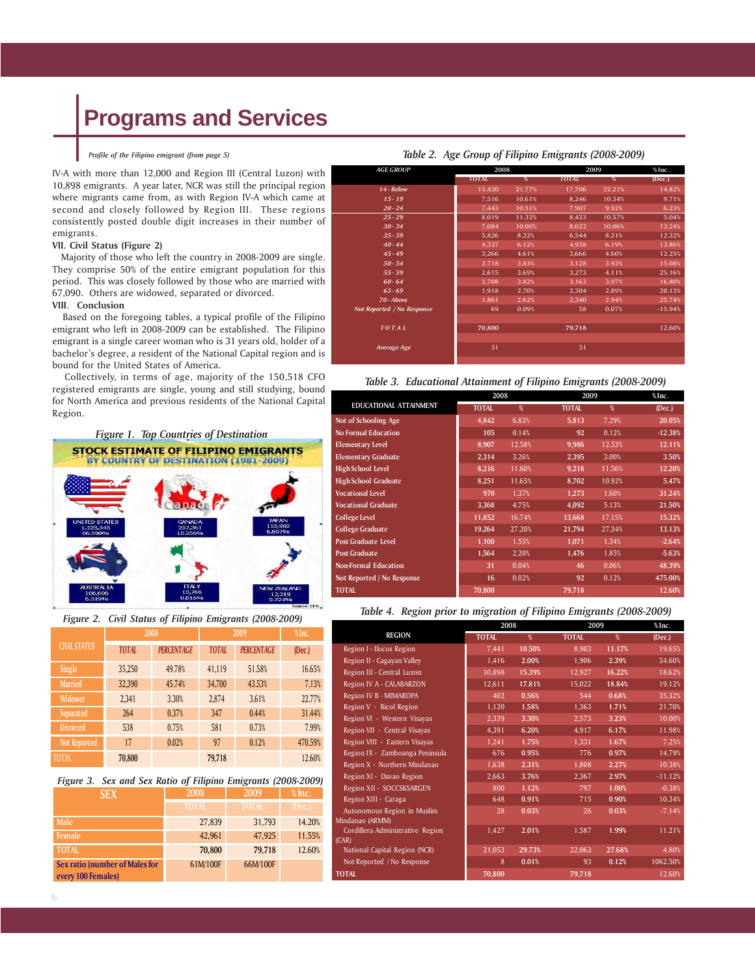# **Programs and Services**

#### *Profile of the Filipino emigrant (from page 5)*

IV-A with more than 12,000 and Region III (Central Luzon) with 10,898 emigrants. A year later, NCR was still the principal region where migrants came from, as with Region IV-A which came at second and closely followed by Region III. These regions consistently posted double digit increases in their number of emigrants.

### **VII. Civil Status (Figure 2)**

 Majority of those who left the country in 2008-2009 are single. They comprise 50% of the entire emigrant population for this period. This was closely followed by those who are married with 67,090. Others are widowed, separated or divorced.

### **VIII. Conclusion**

 Based on the foregoing tables, a typical profile of the Filipino emigrant who left in 2008-2009 can be established. The Filipino emigrant is a single career woman who is 31 years old, holder of a bachelor's degree, a resident of the National Capital region and is bound for the United States of America.

 Collectively, in terms of age, majority of the 150,518 CFO registered emigrants are single, young and still studying, bound for North America and previous residents of the National Capital Region.



| Figure 2. Civil Status of Filipino Emigrants (2008-2009) |  |  |  |
|----------------------------------------------------------|--|--|--|
|                                                          |  |  |  |

|                     |              | 2008              | 2009         | %Inc.             |         |
|---------------------|--------------|-------------------|--------------|-------------------|---------|
| <b>CIVIL STATUS</b> | <b>TOTAL</b> | <b>PERCENTAGE</b> | <b>TOTAL</b> | <b>PERCENTAGE</b> | (Dec.)  |
| Single              | 35,250       | 49.78%            | 41,119       | 51.58%            | 16.65%  |
| <b>Married</b>      | 32,390       | 45.74%            | 34,700       | 43.53%            | 7.13%   |
| Widower             | 2,341        | 3.30%             | 2,874        | 3.61%             | 22.77%  |
| Separated           | 264          | 0.37%             | 347          | 0.44%             | 31.44%  |
| <b>Divorced</b>     | 538          | 0.75%             | 581          | 0.73%             | 7.99%   |
| Not Reported        | 17           | 0.02%             | 97           | 0.12%             | 470.59% |
| <b>TOTAL</b>        | 70,800       |                   | 79,718       |                   | 12.60%  |

*Figure 3. Sex and Sex Ratio of Filipino Emigrants (2008-2009)*

| <b>SEX</b>                                                  | 2008         | 2009         | $%$ lnc. |  |
|-------------------------------------------------------------|--------------|--------------|----------|--|
|                                                             | <b>TOTAL</b> | <b>TOTAL</b> | (Dec.)   |  |
| Male                                                        | 27,839       | 31,793       | 14.20%   |  |
| Female                                                      | 42.961       | 47,925       | 11.55%   |  |
| <b>TOTAL</b>                                                | 70,800       | 79.718       | 12.60%   |  |
| <b>Sex ratio (number of Males for</b><br>every 100 Females) | 61M/100F     | 66M/100F     |          |  |

| <b>AGE GROUP</b>           |              | 2008                     |              | 2009                     |           |
|----------------------------|--------------|--------------------------|--------------|--------------------------|-----------|
|                            | <b>TOTAL</b> | $\overline{\mathcal{L}}$ | <b>TOTAL</b> | $\overline{\mathcal{L}}$ | (Dec.)    |
| 14 - Below                 | 15,420       | 21.77%                   | 17,706       | 22.21%                   | 14.82%    |
| $15 - 19$                  | 7.516        | 10.61%                   | 8,246        | 10.34%                   | 9.71%     |
| $20 - 24$                  | 7.443        | 10.51%                   | 7.907        | 9.92%                    | 6.23%     |
| $25 - 29$                  | 8,019        | 11.32%                   | 8,423        | 10.57%                   | 5.04%     |
| $30 - 34$                  | 7,084        | 10.00%                   | 8,022        | 10.06%                   | 13.24%    |
| $35 - 39$                  | 5,826        | 8.22%                    | 6,544        | 8.21%                    | 12.32%    |
| $40 - 44$                  | 4.337        | 6.12%                    | 4,938        | 6.19%                    | 13.86%    |
| $45 - 49$                  | 3,266        | 4.61%                    | 3,666        | 4.60%                    | 12.25%    |
| $50 - 54$                  | 2,718        | 3.83%                    | 3,128        | 3.92%                    | 15.08%    |
| $55 - 59$                  | 2,615        | 3.69%                    | 3,273        | 4.11%                    | 25.16%    |
| $60 - 64$                  | 2,708        | 3.82%                    | 3,163        | 3.97%                    | 16.80%    |
| $65 - 69$                  | 1,918        | 2.70%                    | 2,304        | 2.89%                    | 20.13%    |
| 70 - Above                 | 1,861        | 2.62%                    | 2,340        | 2.94%                    | 25.74%    |
| Not Reported / No Response | 69           | 0.09%                    | 58           | 0.07%                    | $-15.94%$ |
| TOTAL                      | 70,800       |                          | 79.718       |                          | 12.60%    |

#### *Table 2. Age Group of Filipino Emigrants (2008-2009)*

#### *Table 3. Educational Attainment of Filipino Emigrants (2008-2009)*

*Average Age* 31 31 31 31

|                             | 2008         |        |              | 2009   |           |  |
|-----------------------------|--------------|--------|--------------|--------|-----------|--|
| EDUCATIONAL ATTAINMENT      | <b>TOTAL</b> | $\%$   | <b>TOTAL</b> | %      | (Dec.)    |  |
| Not of Schooling Age        | 4.842        | 6.83%  | 5.813        | 7.29%  | 20.05%    |  |
| <b>No Formal Education</b>  | 105          | 0.14%  | 92           | 0.12%  | $-12.38%$ |  |
| <b>Elementary Level</b>     | 8,907        | 12.58% | 9.986        | 12.53% | 12.11%    |  |
| <b>Elementary Graduate</b>  | 2,314        | 3.26%  | 2.395        | 3.00%  | 3.50%     |  |
| <b>High School Level</b>    | 8.216        | 11.60% | 9.218        | 11.56% | 12.20%    |  |
| <b>High School Graduate</b> | 8.251        | 11.65% | 8,702        | 10.92% | 5.47%     |  |
| <b>Vocational Level</b>     | 970          | 1.37%  | 1.273        | 1.60%  | 31.24%    |  |
| <b>Vocational Graduate</b>  | 3.368        | 4.75%  | 4,092        | 5.13%  | 21.50%    |  |
| College Level               | 11,852       | 16.74% | 13,668       | 17.15% | 15.32%    |  |
| <b>College Graduate</b>     | 19,264       | 27.20% | 21,794       | 27.34% | 13.13%    |  |
| <b>Post Graduate Level</b>  | 1,100        | 1.55%  | 1,071        | 1.34%  | $-2.64%$  |  |
| <b>Post Graduate</b>        | 1,564        | 2.20%  | 1.476        | 1.85%  | $-5.63%$  |  |
| <b>Non-Formal Education</b> | 31           | 0.04%  | 46           | 0.06%  | 48.39%    |  |
| Not Reported / No Response  | 16           | 0.02%  | 92           | 0.12%  | 475.00%   |  |
| <b>TOTAL</b>                | 70.800       |        | 79.718       |        | 12.60%    |  |

#### *Table 4. Region prior to migration of Filipino Emigrants (2008-2009)*

|                                        | 2008         |        | 2009         | %Inc.  |           |
|----------------------------------------|--------------|--------|--------------|--------|-----------|
| <b>REGION</b>                          | <b>TOTAL</b> | %      | <b>TOTAL</b> | %      | (Dec.)    |
| Region I - Ilocos Region               | 7,441        | 10.50% | 8.903        | 11.17% | 19.65%    |
| Region II - Cagayan Valley             | 1,416        | 2.00%  | 1,906        | 2.39%  | 34.60%    |
| Region III - Central Luzon             | 10,898       | 15.39% | 12.927       | 16.22% | 18.62%    |
| Region IV A - CALABARZON               | 12,611       | 17.81% | 15,022       | 18.84% | 19.12%    |
| Region IV B - MIMAROPA                 | 402          | 0.56%  | 544          | 0.68%  | 35.32%    |
| Region V - Bicol Region                | 1,120        | 1.58%  | 1,363        | 1.71%  | 21.70%    |
| Region VI - Western Visayas            | 2,339        | 3.30%  | 2,573        | 3.23%  | 10.00%    |
| Region VII - Central Visayas           | 4,391        | 6.20%  | 4,917        | 6.17%  | 11.98%    |
| Region VIII - Eastern Visayas          | 1,241        | 1.75%  | 1,331        | 1.67%  | 7.25%     |
| Region IX - Zamboanga Peninsula        | 676          | 0.95%  | 776          | 0.97%  | 14.79%    |
| Region X - Northern Mindanao           | 1,638        | 2.31%  | 1,808        | 2.27%  | 10.38%    |
| Region XI - Davao Region               | 2,663        | 3.76%  | 2.367        | 2.97%  | $-11.12%$ |
| Region XII - SOCCSKSARGEN              | 800          | 1.12%  | 797          | 1.00%  | $-0.38%$  |
| Region XIII - Caraga                   | 648          | 0.91%  | 715          | 0.90%  | 10.34%    |
| Autonomous Region in Muslim            | 28           | 0.03%  | 26           | 0.03%  | $-7.14%$  |
| Mindanao (ARMM)                        |              |        |              |        |           |
| Cordillera Administrative Region       | 1,427        | 2.01%  | 1,587        | 1.99%  | 11.21%    |
| (CAR)<br>National Capital Region (NCR) | 21,053       | 29.73% | 22,063       | 27.68% | 4.80%     |
| Not Reported / No Response             | 8            | 0.01%  | 93           | 0.12%  | 1062.50%  |
| <b>TOTAL</b>                           | 70,800       |        | 79,718       |        | 12.60%    |
|                                        |              |        |              |        |           |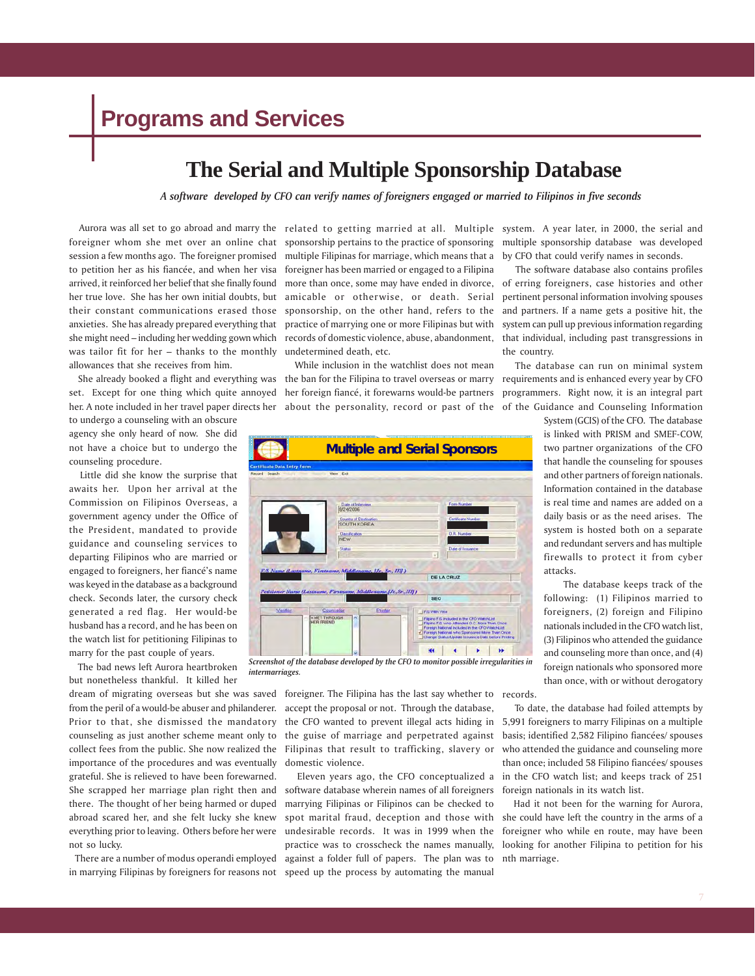# **Programs and Services**

### **The Serial and Multiple Sponsorship Database**

*A software developed by CFO can verify names of foreigners engaged or married to Filipinos in five seconds*

was tailor fit for her – thanks to the monthly undetermined death, etc. allowances that she receives from him.

to undergo a counseling with an obscure agency she only heard of now. She did not have a choice but to undergo the counseling procedure.

 Little did she know the surprise that awaits her. Upon her arrival at the Commission on Filipinos Overseas, a government agency under the Office of the President, mandated to provide guidance and counseling services to departing Filipinos who are married or engaged to foreigners, her fiancé's name was keyed in the database as a background check. Seconds later, the cursory check generated a red flag. Her would-be husband has a record, and he has been on the watch list for petitioning Filipinas to marry for the past couple of years.

 The bad news left Aurora heartbroken but nonetheless thankful. It killed her

dream of migrating overseas but she was saved foreigner. The Filipina has the last say whether to records. from the peril of a would-be abuser and philanderer. Prior to that, she dismissed the mandatory importance of the procedures and was eventually domestic violence. grateful. She is relieved to have been forewarned. not so lucky.

in marrying Filipinas by foreigners for reasons not speed up the process by automating the manual

foreigner whom she met over an online chat sponsorship pertains to the practice of sponsoring session a few months ago. The foreigner promised multiple Filipinas for marriage, which means that a to petition her as his fiancée, and when her visa foreigner has been married or engaged to a Filipina arrived, it reinforced her belief that she finally found more than once, some may have ended in divorce, her true love. She has her own initial doubts, but amicable or otherwise, or death. Serial their constant communications erased those sponsorship, on the other hand, refers to the anxieties. She has already prepared everything that practice of marrying one or more Filipinas but with she might need – including her wedding gown which records of domestic violence, abuse, abandonment,

 She already booked a flight and everything was the ban for the Filipina to travel overseas or marry requirements and is enhanced every year by CFO set. Except for one thing which quite annoyed her foreign fiancé, it forewarns would-be partners her. A note included in her travel paper directs her about the personality, record or past of the of the Guidance and Counseling Information While inclusion in the watchlist does not mean



*Screenshot of the database developed by the CFO to monitor possible irregularities in intermarriages.*

counseling as just another scheme meant only to the guise of marriage and perpetrated against collect fees from the public. She now realized the Filipinas that result to trafficking, slavery or accept the proposal or not. Through the database, the CFO wanted to prevent illegal acts hiding in

She scrapped her marriage plan right then and software database wherein names of all foreigners there. The thought of her being harmed or duped marrying Filipinas or Filipinos can be checked to abroad scared her, and she felt lucky she knew spot marital fraud, deception and those with everything prior to leaving. Others before her were undesirable records. It was in 1999 when the There are a number of modus operandi employed against a folder full of papers. The plan was to Eleven years ago, the CFO conceptualized a practice was to crosscheck the names manually,

Aurora was all set to go abroad and marry the related to getting married at all. Multiple system. A year later, in 2000, the serial and multiple sponsorship database was developed by CFO that could verify names in seconds.

> The software database also contains profiles of erring foreigners, case histories and other pertinent personal information involving spouses and partners. If a name gets a positive hit, the system can pull up previous information regarding that individual, including past transgressions in the country.

> The database can run on minimal system programmers. Right now, it is an integral part

> > System (GCIS) of the CFO. The database is linked with PRISM and SMEF-COW, two partner organizations of the CFO that handle the counseling for spouses and other partners of foreign nationals. Information contained in the database is real time and names are added on a daily basis or as the need arises. The system is hosted both on a separate and redundant servers and has multiple firewalls to protect it from cyber attacks.

> > The database keeps track of the following: (1) Filipinos married to foreigners, (2) foreign and Filipino nationals included in the CFO watch list, (3) Filipinos who attended the guidance and counseling more than once, and (4) foreign nationals who sponsored more than once, with or without derogatory

 To date, the database had foiled attempts by 5,991 foreigners to marry Filipinas on a multiple basis; identified 2,582 Filipino fiancées/ spouses who attended the guidance and counseling more than once; included 58 Filipino fiancées/ spouses in the CFO watch list; and keeps track of 251 foreign nationals in its watch list.

 Had it not been for the warning for Aurora, she could have left the country in the arms of a foreigner who while en route, may have been looking for another Filipina to petition for his nth marriage.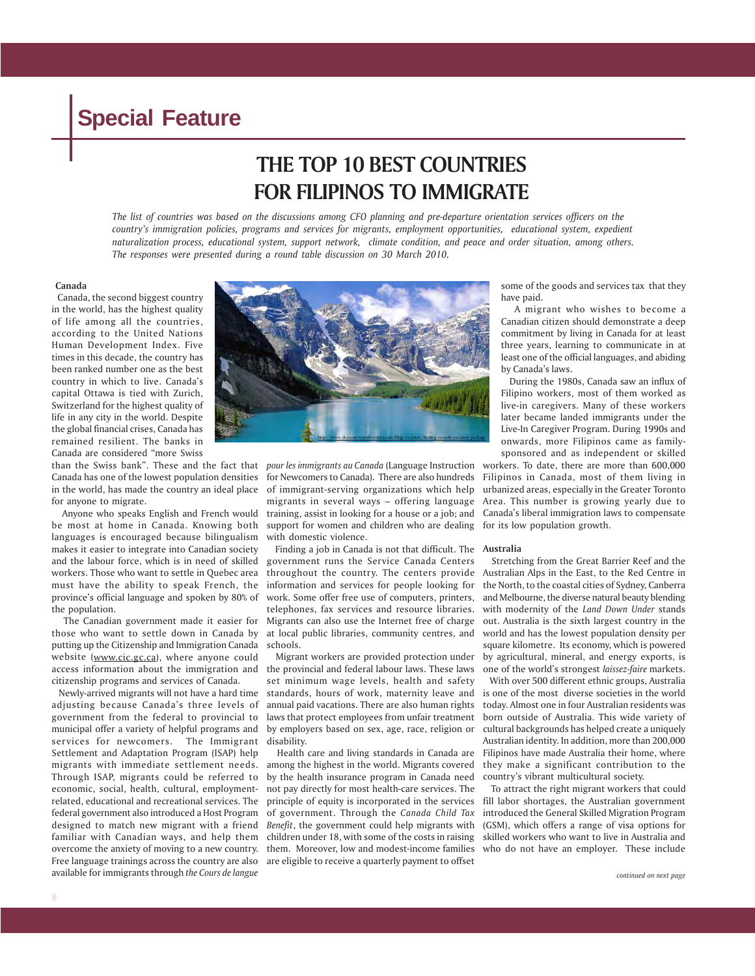### **THE TOP 10 BEST COUNTRIES FOR FILIPINOS TO IMMIGRATE**

*The list of countries was based on the discussions among CFO planning and pre-departure orientation services officers on the country's immigration policies, programs and services for migrants, employment opportunities, educational system, expedient naturalization process, educational system, support network, climate condition, and peace and order situation, among others. The responses were presented during a round table discussion on 30 March 2010.*

#### **Canada**

 Canada, the second biggest country in the world, has the highest quality of life among all the countries, according to the United Nations Human Development Index. Five times in this decade, the country has been ranked number one as the best country in which to live. Canada's capital Ottawa is tied with Zurich, Switzerland for the highest quality of life in any city in the world. Despite the global financial crises, Canada has remained resilient. The banks in Canada are considered "more Swiss

for anyone to migrate.

 Anyone who speaks English and French would be most at home in Canada. Knowing both languages is encouraged because bilingualism makes it easier to integrate into Canadian society and the labour force, which is in need of skilled workers. Those who want to settle in Quebec area must have the ability to speak French, the province's official language and spoken by 80% of the population.

 The Canadian government made it easier for those who want to settle down in Canada by putting up the Citizenship and Immigration Canada website (www.cic.gc.ca), where anyone could access information about the immigration and citizenship programs and services of Canada.

adjusting because Canada's three levels of government from the federal to provincial to municipal offer a variety of helpful programs and services for newcomers. The Immigrant Settlement and Adaptation Program (ISAP) help migrants with immediate settlement needs. Through ISAP, migrants could be referred to economic, social, health, cultural, employmentrelated, educational and recreational services. The federal government also introduced a Host Program designed to match new migrant with a friend familiar with Canadian ways, and help them overcome the anxiety of moving to a new country. Free language trainings across the country are also available for immigrants through *the Cours de langue*



Canada has one of the lowest population densities for Newcomers to Canada). There are also hundreds in the world, has made the country an ideal place of immigrant-serving organizations which help migrants in several ways – offering language training, assist in looking for a house or a job; and support for women and children who are dealing with domestic violence.

> Finding a job in Canada is not that difficult. The **Australia** government runs the Service Canada Centers throughout the country. The centers provide information and services for people looking for work. Some offer free use of computers, printers, telephones, fax services and resource libraries. Migrants can also use the Internet free of charge at local public libraries, community centres, and schools.

Newly-arrived migrants will not have a hard time standards, hours of work, maternity leave and Migrant workers are provided protection under the provincial and federal labour laws. These laws set minimum wage levels, health and safety annual paid vacations. There are also human rights laws that protect employees from unfair treatment by employers based on sex, age, race, religion or disability.

> Health care and living standards in Canada are among the highest in the world. Migrants covered by the health insurance program in Canada need not pay directly for most health-care services. The principle of equity is incorporated in the services of government. Through the *Canada Child Tax Benefit*, the government could help migrants with children under 18, with some of the costs in raising them. Moreover, low and modest-income families are eligible to receive a quarterly payment to offset

some of the goods and services tax that they have paid.

 A migrant who wishes to become a Canadian citizen should demonstrate a deep commitment by living in Canada for at least three years, learning to communicate in at least one of the official languages, and abiding by Canada's laws.

 During the 1980s, Canada saw an influx of Filipino workers, most of them worked as live-in caregivers. Many of these workers later became landed immigrants under the Live-In Caregiver Program. During 1990s and onwards, more Filipinos came as familysponsored and as independent or skilled

than the Swiss bank". These and the fact that *pour les immigrants au Canada* (Language Instruction workers. To date, there are more than 600,000 Filipinos in Canada, most of them living in urbanized areas, especially in the Greater Toronto Area. This number is growing yearly due to Canada's liberal immigration laws to compensate for its low population growth.

 Stretching from the Great Barrier Reef and the Australian Alps in the East, to the Red Centre in the North, to the coastal cities of Sydney, Canberra and Melbourne, the diverse natural beauty blending with modernity of the *Land Down Under* stands out. Australia is the sixth largest country in the world and has the lowest population density per square kilometre. Its economy, which is powered by agricultural, mineral, and energy exports, is one of the world's strongest *laissez-faire* markets.

 With over 500 different ethnic groups, Australia is one of the most diverse societies in the world today. Almost one in four Australian residents was born outside of Australia. This wide variety of cultural backgrounds has helped create a uniquely Australian identity. In addition, more than 200,000 Filipinos have made Australia their home, where they make a significant contribution to the country's vibrant multicultural society.

 To attract the right migrant workers that could fill labor shortages, the Australian government introduced the General Skilled Migration Program (GSM), which offers a range of visa options for skilled workers who want to live in Australia and who do not have an employer. These include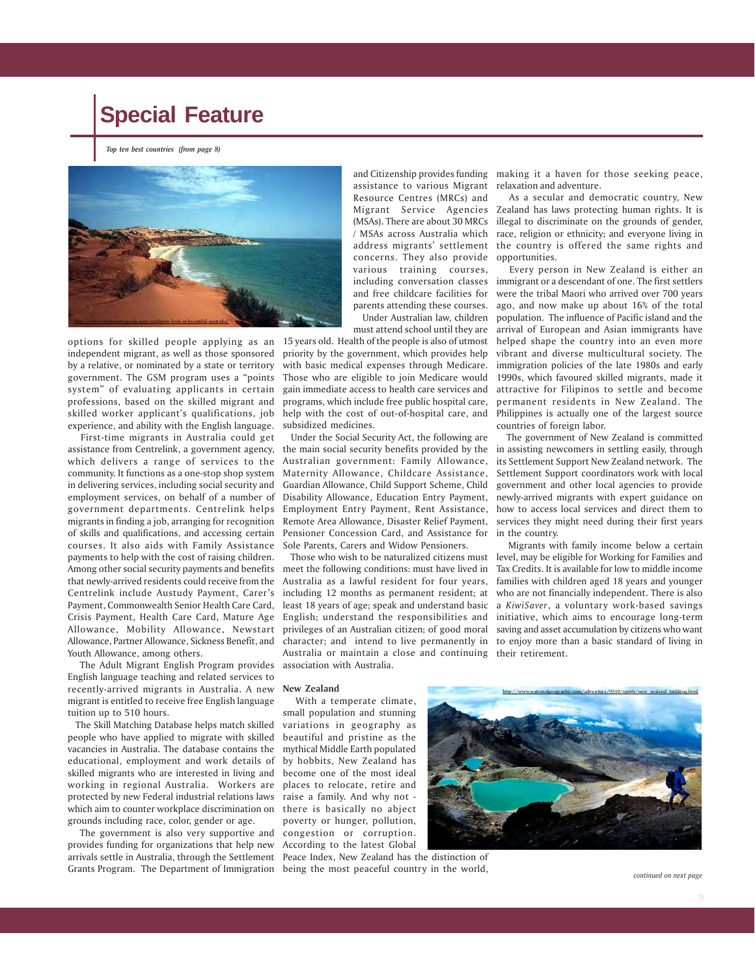*Top ten best countries (from page 8)*



options for skilled people applying as an 15 years old. Health of the people is also of utmost independent migrant, as well as those sponsored by a relative, or nominated by a state or territory government. The GSM program uses a "points system" of evaluating applicants in certain professions, based on the skilled migrant and skilled worker applicant's qualifications, job experience, and ability with the English language.

 First-time migrants in Australia could get assistance from Centrelink, a government agency, which delivers a range of services to the community. It functions as a one-stop shop system in delivering services, including social security and employment services, on behalf of a number of government departments. Centrelink helps migrants in finding a job, arranging for recognition of skills and qualifications, and accessing certain courses. It also aids with Family Assistance payments to help with the cost of raising children. Among other social security payments and benefits that newly-arrived residents could receive from the Centrelink include Austudy Payment, Carer's Payment, Commonwealth Senior Health Care Card, Crisis Payment, Health Care Card, Mature Age Allowance, Partner Allowance, Sickness Benefit, and Youth Allowance, among others.

 The Adult Migrant English Program provides English language teaching and related services to recently-arrived migrants in Australia. A new migrant is entitled to receive free English language tuition up to 510 hours.

 The Skill Matching Database helps match skilled people who have applied to migrate with skilled vacancies in Australia. The database contains the educational, employment and work details of skilled migrants who are interested in living and working in regional Australia. Workers are protected by new Federal industrial relations laws raise a family. And why not which aim to counter workplace discrimination on there is basically no abject grounds including race, color, gender or age.

 The government is also very supportive and provides funding for organizations that help new arrivals settle in Australia, through the Settlement Peace Index, New Zealand has the distinction of Grants Program. The Department of Immigration being the most peaceful country in the world,

assistance to various Migrant Resource Centres (MRCs) and Migrant Service Agencies (MSAs). There are about 30 MRCs / MSAs across Australia which concerns. They also provide various training courses, including conversation classes and free childcare facilities for parents attending these courses. Under Australian law, children

must attend school until they are

priority by the government, which provides help with basic medical expenses through Medicare. Those who are eligible to join Medicare would gain immediate access to health care services and programs, which include free public hospital care, help with the cost of out-of-hospital care, and subsidized medicines.

 Under the Social Security Act, the following are the main social security benefits provided by the Australian government: Family Allowance, Maternity Allowance, Childcare Assistance, Guardian Allowance, Child Support Scheme, Child Remote Area Allowance, Disaster Relief Payment, Pensioner Concession Card, and Assistance for Sole Parents, Carers and Widow Pensioners.

Allowance, Mobility Allowance, Newstart privileges of an Australian citizen; of good moral saving and asset accumulation by citizens who want meet the following conditions: must have lived in Australia as a lawful resident for four years, including 12 months as permanent resident; at least 18 years of age; speak and understand basic English; understand the responsibilities and Australia or maintain a close and continuing their retirement. association with Australia.

and Citizenship provides funding making it a haven for those seeking peace, relaxation and adventure.

address migrants' settlement the country is offered the same rights and As a secular and democratic country, New Zealand has laws protecting human rights. It is illegal to discriminate on the grounds of gender, race, religion or ethnicity; and everyone living in opportunities.

> Every person in New Zealand is either an immigrant or a descendant of one. The first settlers were the tribal Maori who arrived over 700 years ago, and now make up about 16% of the total population. The influence of Pacific island and the arrival of European and Asian immigrants have helped shape the country into an even more vibrant and diverse multicultural society. The immigration policies of the late 1980s and early 1990s, which favoured skilled migrants, made it attractive for Filipinos to settle and become permanent residents in New Zealand. The Philippines is actually one of the largest source countries of foreign labor.

Disability Allowance, Education Entry Payment, newly-arrived migrants with expert guidance on Employment Entry Payment, Rent Assistance, how to access local services and direct them to The government of New Zealand is committed in assisting newcomers in settling easily, through its Settlement Support New Zealand network. The Settlement Support coordinators work with local government and other local agencies to provide services they might need during their first years in the country.

 Those who wish to be naturalized citizens must level, may be eligible for Working for Families and character; and intend to live permanently in to enjoy more than a basic standard of living in Migrants with family income below a certain Tax Credits. It is available for low to middle income families with children aged 18 years and younger who are not financially independent. There is also a *KiwiSaver*, a voluntary work-based savings initiative, which aims to encourage long-term

#### **New Zealand**

 With a temperate climate, small population and stunning variations in geography as beautiful and pristine as the mythical Middle Earth populated by hobbits, New Zealand has become one of the most ideal places to relocate, retire and poverty or hunger, pollution, congestion or corruption. According to the latest Global



*continued on next page*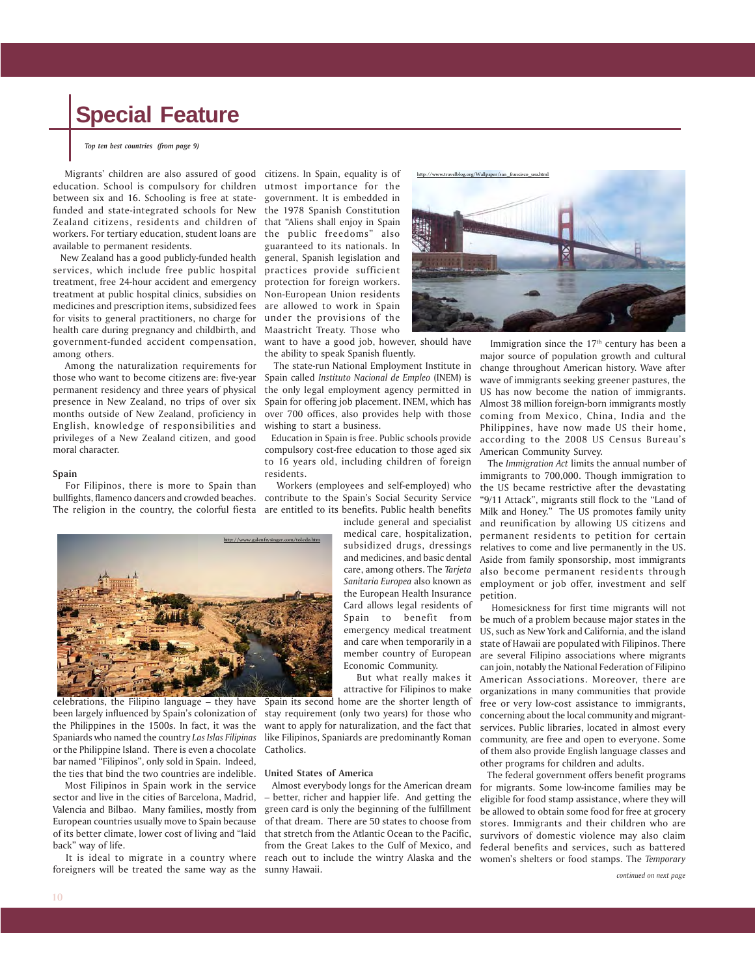*Top ten best countries (from page 9)*

 Migrants' children are also assured of good citizens. In Spain, equality is of education. School is compulsory for children utmost importance for the between six and 16. Schooling is free at state-government. It is embedded in funded and state-integrated schools for New the 1978 Spanish Constitution Zealand citizens, residents and children of that "Aliens shall enjoy in Spain workers. For tertiary education, student loans are available to permanent residents.

 New Zealand has a good publicly-funded health services, which include free public hospital practices provide sufficient treatment, free 24-hour accident and emergency treatment at public hospital clinics, subsidies on medicines and prescription items, subsidized fees for visits to general practitioners, no charge for health care during pregnancy and childbirth, and government-funded accident compensation, want to have a good job, however, should have among others.

Among the naturalization requirements for those who want to become citizens are: five-year permanent residency and three years of physical presence in New Zealand, no trips of over six months outside of New Zealand, proficiency in English, knowledge of responsibilities and privileges of a New Zealand citizen, and good moral character.

#### **Spain**

 For Filipinos, there is more to Spain than bullfights, flamenco dancers and crowded beaches. contribute to the Spain's Social Security Service

the public freedoms" also guaranteed to its nationals. In general, Spanish legislation and protection for foreign workers. Non-European Union residents are allowed to work in Spain under the provisions of the Maastricht Treaty. Those who

the ability to speak Spanish fluently.

 The state-run National Employment Institute in Spain called *Instituto Nacional de Empleo* (INEM) is the only legal employment agency permitted in Spain for offering job placement. INEM, which has over 700 offices, also provides help with those wishing to start a business.

 Education in Spain is free. Public schools provide compulsory cost-free education to those aged six to 16 years old, including children of foreign residents.

The religion in the country, the colorful fiesta are entitled to its benefits. Public health benefits Workers (employees and self-employed) who

> include general and specialist medical care, hospitalization, subsidized drugs, dressings and medicines, and basic dental care, among others. The *Tarjeta Sanitaria Europea* also known as the European Health Insurance Card allows legal residents of Spain to benefit from emergency medical treatment and care when temporarily in a member country of European Economic Community.

> But what really makes it attractive for Filipinos to make

Spain its second home are the shorter length of stay requirement (only two years) for those who want to apply for naturalization, and the fact that Catholics.

#### **United States of America**

 It is ideal to migrate in a country where reach out to include the wintry Alaska and the Almost everybody longs for the American dream – better, richer and happier life. And getting the green card is only the beginning of the fulfillment of that dream. There are 50 states to choose from that stretch from the Atlantic Ocean to the Pacific, from the Great Lakes to the Gulf of Mexico, and



Immigration since the 17<sup>th</sup> century has been a major source of population growth and cultural change throughout American history. Wave after wave of immigrants seeking greener pastures, the US has now become the nation of immigrants. Almost 38 million foreign-born immigrants mostly coming from Mexico, China, India and the Philippines, have now made US their home, according to the 2008 US Census Bureau's American Community Survey.

 The *Immigration Act* limits the annual number of immigrants to 700,000. Though immigration to the US became restrictive after the devastating "9/11 Attack", migrants still flock to the "Land of Milk and Honey." The US promotes family unity and reunification by allowing US citizens and permanent residents to petition for certain relatives to come and live permanently in the US. Aside from family sponsorship, most immigrants also become permanent residents through employment or job offer, investment and self petition.

 Homesickness for first time migrants will not be much of a problem because major states in the US, such as New York and California, and the island state of Hawaii are populated with Filipinos. There are several Filipino associations where migrants can join, notably the National Federation of Filipino American Associations. Moreover, there are organizations in many communities that provide free or very low-cost assistance to immigrants, concerning about the local community and migrantservices. Public libraries, located in almost every community, are free and open to everyone. Some of them also provide English language classes and other programs for children and adults.

 The federal government offers benefit programs for migrants. Some low-income families may be eligible for food stamp assistance, where they will be allowed to obtain some food for free at grocery stores. Immigrants and their children who are survivors of domestic violence may also claim federal benefits and services, such as battered women's shelters or food stamps. The *Temporary*





celebrations, the Filipino language – they have been largely influenced by Spain's colonization of the Philippines in the 1500s. In fact, it was the Spaniards who named the country *Las Islas Filipinas* like Filipinos, Spaniards are predominantly Roman or the Philippine Island. There is even a chocolate bar named "Filipinos", only sold in Spain. Indeed, the ties that bind the two countries are indelible.

 Most Filipinos in Spain work in the service sector and live in the cities of Barcelona, Madrid, Valencia and Bilbao. Many families, mostly from European countries usually move to Spain because of its better climate, lower cost of living and "laid back" way of life.

foreigners will be treated the same way as the sunny Hawaii.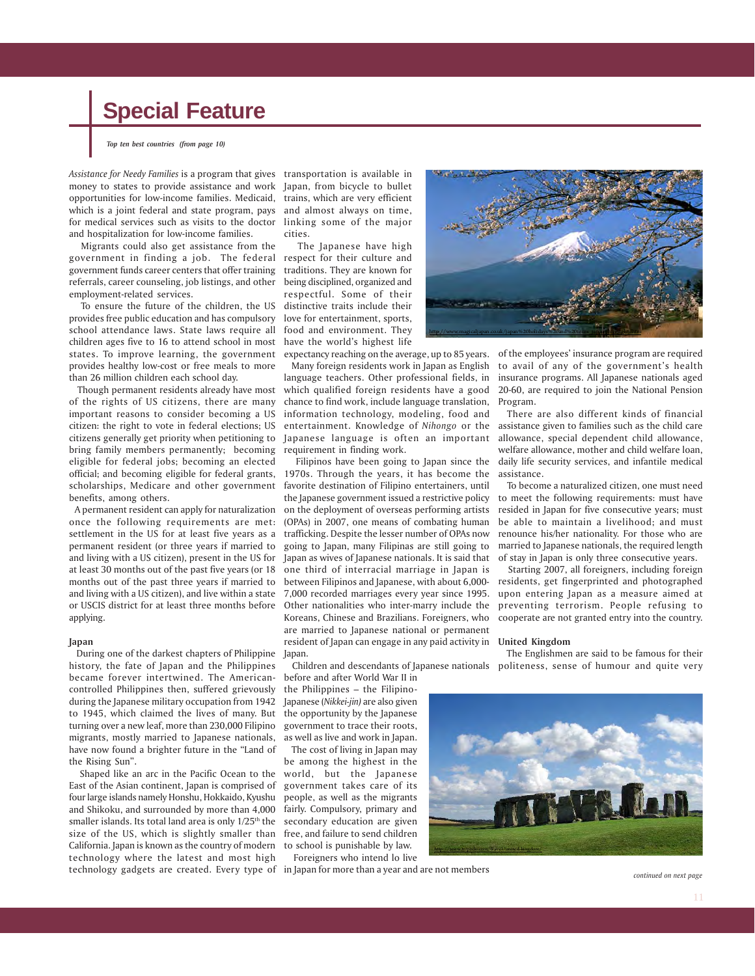*Top ten best countries (from page 10)*

*Assistance for Needy Families* is a program that gives transportation is available in money to states to provide assistance and work Japan, from bicycle to bullet opportunities for low-income families. Medicaid, trains, which are very efficient which is a joint federal and state program, pays and almost always on time, for medical services such as visits to the doctor linking some of the major and hospitalization for low-income families.

 Migrants could also get assistance from the government in finding a job. The federal respect for their culture and government funds career centers that offer training traditions. They are known for referrals, career counseling, job listings, and other employment-related services.

 To ensure the future of the children, the US provides free public education and has compulsory school attendance laws. State laws require all children ages five to 16 to attend school in most have the world's highest life states. To improve learning, the government provides healthy low-cost or free meals to more than 26 million children each school day.

 Though permanent residents already have most of the rights of US citizens, there are many important reasons to consider becoming a US citizen: the right to vote in federal elections; US citizens generally get priority when petitioning to bring family members permanently; becoming eligible for federal jobs; becoming an elected official; and becoming eligible for federal grants, scholarships, Medicare and other government benefits, among others.

 A permanent resident can apply for naturalization once the following requirements are met: settlement in the US for at least five years as a permanent resident (or three years if married to and living with a US citizen), present in the US for at least 30 months out of the past five years (or 18 months out of the past three years if married to and living with a US citizen), and live within a state or USCIS district for at least three months before applying.

#### **Japan**

 During one of the darkest chapters of Philippine Japan. history, the fate of Japan and the Philippines became forever intertwined. The Americancontrolled Philippines then, suffered grievously during the Japanese military occupation from 1942 to 1945, which claimed the lives of many. But the opportunity by the Japanese turning over a new leaf, more than 230,000 Filipino migrants, mostly married to Japanese nationals, have now found a brighter future in the "Land of the Rising Sun".

 Shaped like an arc in the Pacific Ocean to the East of the Asian continent, Japan is comprised of four large islands namely Honshu, Hokkaido, Kyushu people, as well as the migrants and Shikoku, and surrounded by more than 4,000 smaller islands. Its total land area is only  $1/25<sup>th</sup>$  the secondary education are given size of the US, which is slightly smaller than California. Japan is known as the country of modern technology where the latest and most high technology gadgets are created. Every type of in Japan for more than a year and are not members

cities.

 The Japanese have high being disciplined, organized and respectful. Some of their distinctive traits include their love for entertainment, sports, food and environment. They

language teachers. Other professional fields, in which qualified foreign residents have a good chance to find work, include language translation, information technology, modeling, food and entertainment. Knowledge of *Nihongo* or the Japanese language is often an important requirement in finding work.

 Filipinos have been going to Japan since the 1970s. Through the years, it has become the favorite destination of Filipino entertainers, until the Japanese government issued a restrictive policy on the deployment of overseas performing artists (OPAs) in 2007, one means of combating human trafficking. Despite the lesser number of OPAs now going to Japan, many Filipinas are still going to Japan as wives of Japanese nationals. It is said that one third of interracial marriage in Japan is between Filipinos and Japanese, with about 6,000- 7,000 recorded marriages every year since 1995. Other nationalities who inter-marry include the Koreans, Chinese and Brazilians. Foreigners, who are married to Japanese national or permanent resident of Japan can engage in any paid activity in **United Kingdom**

before and after World War II in

the Philippines – the Filipino-Japanese (*Nikkei-jin)* are also given government to trace their roots, as well as live and work in Japan.

 The cost of living in Japan may be among the highest in the world, but the Japanese government takes care of its fairly. Compulsory, primary and free, and failure to send children to school is punishable by law. Foreigners who intend lo live



expectancy reaching on the average, up to 85 years. of the employees' insurance program are required Many foreign residents work in Japan as English to avail of any of the government's health insurance programs. All Japanese nationals aged 20-60, are required to join the National Pension Program.

 There are also different kinds of financial assistance given to families such as the child care allowance, special dependent child allowance, welfare allowance, mother and child welfare loan, daily life security services, and infantile medical assistance.

 To become a naturalized citizen, one must need to meet the following requirements: must have resided in Japan for five consecutive years; must be able to maintain a livelihood; and must renounce his/her nationality. For those who are married to Japanese nationals, the required length of stay in Japan is only three consecutive years.

 Starting 2007, all foreigners, including foreign residents, get fingerprinted and photographed upon entering Japan as a measure aimed at preventing terrorism. People refusing to cooperate are not granted entry into the country.

 Children and descendants of Japanese nationals politeness, sense of humour and quite very The Englishmen are said to be famous for their



*continued on next page*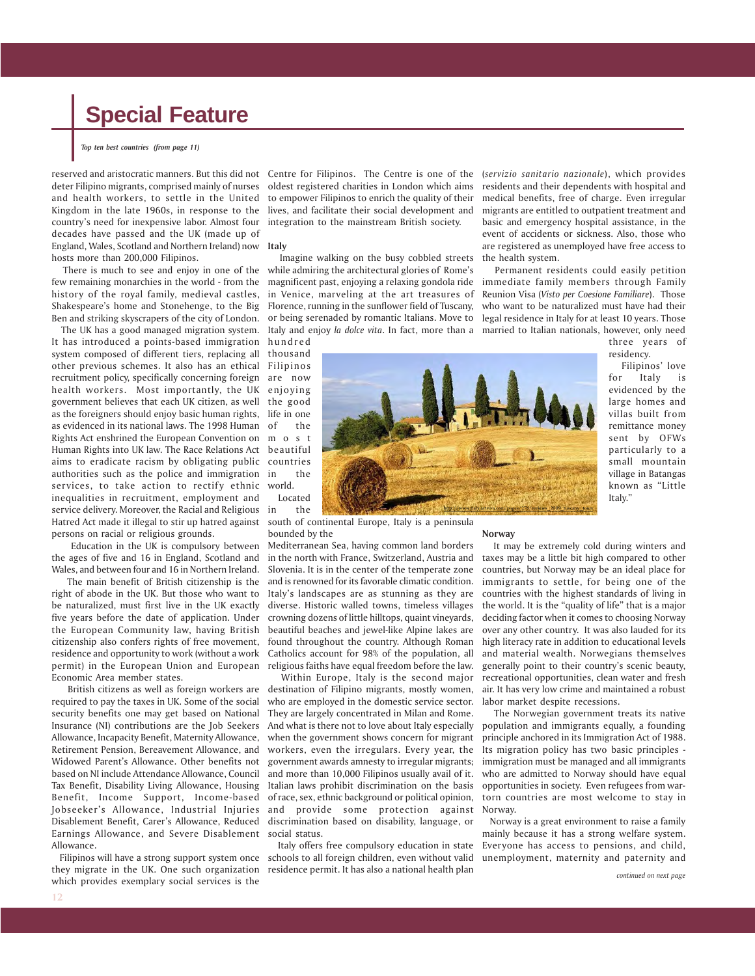*Top ten best countries (from page 11)*

reserved and aristocratic manners. But this did not deter Filipino migrants, comprised mainly of nurses and health workers, to settle in the United Kingdom in the late 1960s, in response to the country's need for inexpensive labor. Almost four decades have passed and the UK (made up of England, Wales, Scotland and Northern Ireland) now hosts more than 200,000 Filipinos.

 There is much to see and enjoy in one of the few remaining monarchies in the world - from the history of the royal family, medieval castles, Shakespeare's home and Stonehenge, to the Big Ben and striking skyscrapers of the city of London.

 The UK has a good managed migration system. It has introduced a points-based immigration system composed of different tiers, replacing all other previous schemes. It also has an ethical recruitment policy, specifically concerning foreign health workers. Most importantly, the UK government believes that each UK citizen, as well as the foreigners should enjoy basic human rights, as evidenced in its national laws. The 1998 Human Rights Act enshrined the European Convention on Human Rights into UK law. The Race Relations Act aims to eradicate racism by obligating public authorities such as the police and immigration services, to take action to rectify ethnic inequalities in recruitment, employment and service delivery. Moreover, the Racial and Religious Hatred Act made it illegal to stir up hatred against persons on racial or religious grounds.

 Education in the UK is compulsory between the ages of five and 16 in England, Scotland and Wales, and between four and 16 in Northern Ireland.

 The main benefit of British citizenship is the right of abode in the UK. But those who want to be naturalized, must first live in the UK exactly five years before the date of application. Under the European Community law, having British citizenship also confers rights of free movement, residence and opportunity to work (without a work permit) in the European Union and European Economic Area member states.

 British citizens as well as foreign workers are required to pay the taxes in UK. Some of the social security benefits one may get based on National Insurance (NI) contributions are the Job Seekers Allowance, Incapacity Benefit, Maternity Allowance, Retirement Pension, Bereavement Allowance, and Widowed Parent's Allowance. Other benefits not based on NI include Attendance Allowance, Council Tax Benefit, Disability Living Allowance, Housing Benefit, Income Support, Income-based Jobseeker's Allowance, Industrial Injuries Disablement Benefit, Carer's Allowance, Reduced Earnings Allowance, and Severe Disablement Allowance.

 Filipinos will have a strong support system once they migrate in the UK. One such organization which provides exemplary social services is the

Centre for Filipinos. The Centre is one of the (*servizio sanitario nazionale*), which provides oldest registered charities in London which aims to empower Filipinos to enrich the quality of their lives, and facilitate their social development and integration to the mainstream British society.

#### **Italy**

 Imagine walking on the busy cobbled streets while admiring the architectural glories of Rome's magnificent past, enjoying a relaxing gondola ride in Venice, marveling at the art treasures of Florence, running in the sunflower field of Tuscany, or being serenaded by romantic Italians. Move to Italy and enjoy *la dolce vita*. In fact, more than a

hundred thousand Filipinos are now enjoying the good life in one the m o s t beautiful countries in the world. Located

the

south of continental Europe, Italy is a peninsula bounded by the

Mediterranean Sea, having common land borders in the north with France, Switzerland, Austria and Slovenia. It is in the center of the temperate zone and is renowned for its favorable climatic condition. Italy's landscapes are as stunning as they are diverse. Historic walled towns, timeless villages crowning dozens of little hilltops, quaint vineyards, beautiful beaches and jewel-like Alpine lakes are found throughout the country. Although Roman Catholics account for 98% of the population, all religious faiths have equal freedom before the law.

 Within Europe, Italy is the second major destination of Filipino migrants, mostly women, who are employed in the domestic service sector. They are largely concentrated in Milan and Rome. And what is there not to love about Italy especially when the government shows concern for migrant workers, even the irregulars. Every year, the government awards amnesty to irregular migrants; and more than 10,000 Filipinos usually avail of it. Italian laws prohibit discrimination on the basis of race, sex, ethnic background or political opinion, and provide some protection against discrimination based on disability, language, or social status.

 Italy offers free compulsory education in state schools to all foreign children, even without valid residence permit. It has also a national health plan

residents and their dependents with hospital and medical benefits, free of charge. Even irregular migrants are entitled to outpatient treatment and basic and emergency hospital assistance, in the event of accidents or sickness. Also, those who are registered as unemployed have free access to the health system.

 Permanent residents could easily petition immediate family members through Family Reunion Visa (*Visto per Coesione Familiare*). Those who want to be naturalized must have had their legal residence in Italy for at least 10 years. Those married to Italian nationals, however, only need

three years of residency.

 Filipinos' love for Italy is evidenced by the large homes and villas built from remittance money sent by OFWs particularly to a small mountain village in Batangas known as "Little Italy."

**Norway** It may be extremely cold during winters and taxes may be a little bit high compared to other countries, but Norway may be an ideal place for immigrants to settle, for being one of the countries with the highest standards of living in the world. It is the "quality of life" that is a major deciding factor when it comes to choosing Norway over any other country. It was also lauded for its high literacy rate in addition to educational levels and material wealth. Norwegians themselves generally point to their country's scenic beauty, recreational opportunities, clean water and fresh air. It has very low crime and maintained a robust labor market despite recessions.

 The Norwegian government treats its native population and immigrants equally, a founding principle anchored in its Immigration Act of 1988. Its migration policy has two basic principles immigration must be managed and all immigrants who are admitted to Norway should have equal opportunities in society. Even refugees from wartorn countries are most welcome to stay in Norway.

 Norway is a great environment to raise a family mainly because it has a strong welfare system. Everyone has access to pensions, and child, unemployment, maternity and paternity and

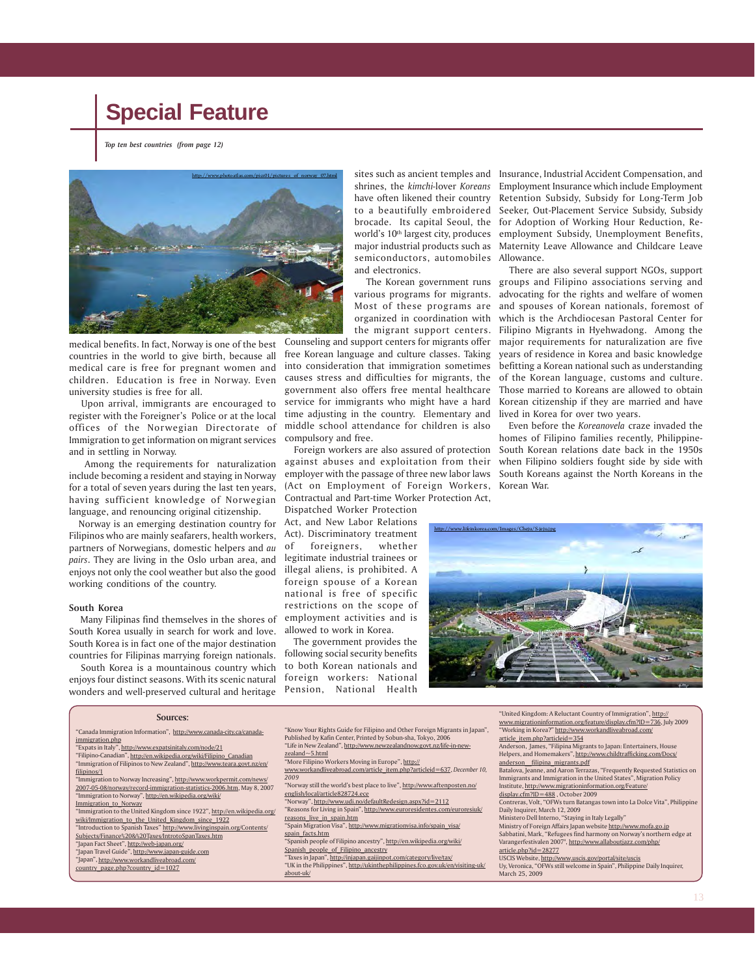*Top ten best countries (from page 12)*



countries in the world to give birth, because all medical care is free for pregnant women and children. Education is free in Norway. Even university studies is free for all.

 Upon arrival, immigrants are encouraged to register with the Foreigner's Police or at the local offices of the Norwegian Directorate of Immigration to get information on migrant services and in settling in Norway.

 Among the requirements for naturalization include becoming a resident and staying in Norway for a total of seven years during the last ten years, having sufficient knowledge of Norwegian language, and renouncing original citizenship.

 Norway is an emerging destination country for Filipinos who are mainly seafarers, health workers, partners of Norwegians, domestic helpers and *au pairs*. They are living in the Oslo urban area, and enjoys not only the cool weather but also the good working conditions of the country.

#### **South Korea**

 Many Filipinas find themselves in the shores of South Korea usually in search for work and love. South Korea is in fact one of the major destination countries for Filipinas marrying foreign nationals.

 South Korea is a mountainous country which enjoys four distinct seasons. With its scenic natural wonders and well-preserved cultural and heritage world's 10th largest city, produces major industrial products such as semiconductors, automobiles Allowance. and electronics.

 The Korean government runs Most of these programs are organized in coordination with the migrant support centers.

medical benefits. In fact, Norway is one of the best Counseling and support centers for migrants offer free Korean language and culture classes. Taking into consideration that immigration sometimes causes stress and difficulties for migrants, the government also offers free mental healthcare service for immigrants who might have a hard time adjusting in the country. Elementary and middle school attendance for children is also compulsory and free.

> Foreign workers are also assured of protection against abuses and exploitation from their employer with the passage of three new labor laws (Act on Employment of Foreign Workers, Contractual and Part-time Worker Protection Act,

Dispatched Worker Protection Act, and New Labor Relations Act). Discriminatory treatment of foreigners, whether legitimate industrial trainees or illegal aliens, is prohibited. A foreign spouse of a Korean national is free of specific restrictions on the scope of employment activities and is allowed to work in Korea.

 The government provides the following social security benefits to both Korean nationals and foreign workers: National Pension, National Health

http://www.photoatlas.com/pics01/pictures\_of\_norway\_07.html sites such as ancient temples and Insurance, Industrial Accident Compensation, and shrines, the *kimchi-*lover *Koreans* Employment Insurance which include Employment have often likened their country Retention Subsidy, Subsidy for Long-Term Job to a beautifully embroidered Seeker, Out-Placement Service Subsidy, Subsidy brocade. Its capital Seoul, the for Adoption of Working Hour Reduction, Reemployment Subsidy, Unemployment Benefits, Maternity Leave Allowance and Childcare Leave

> various programs for migrants. advocating for the rights and welfare of women There are also several support NGOs, support groups and Filipino associations serving and and spouses of Korean nationals, foremost of which is the Archdiocesan Pastoral Center for Filipino Migrants in Hyehwadong. Among the major requirements for naturalization are five years of residence in Korea and basic knowledge befitting a Korean national such as understanding of the Korean language, customs and culture. Those married to Koreans are allowed to obtain Korean citizenship if they are married and have lived in Korea for over two years.

> > Even before the *Koreanovela* craze invaded the homes of Filipino families recently, Philippine-South Korean relations date back in the 1950s when Filipino soldiers fought side by side with South Koreans against the North Koreans in the Korean War.



#### **Sources:**

- "Canada Immigration Information", http://www.canada-city.ca/canadaimmigration.php Expats in Italy", http://www.expatsinitaly.com/node/21 "Filipino-Canadian", http://en.wikipedia.org/wiki/Filipino\_Canadian "Immigration of Filipinos to New Zealand", http://www.teara.govt.
- filipinos/1 'Immigration to Norway Increasing", http://www.workpermit.com/new 2007-05-08/norway/record-immigration-statistics-2006.htm, May 8, 2007
- "Immigration to Norway", http://en.wikipedia.org/wiki/ Immigration\_to\_Norway "Immigration to the United Kingdom since 1922", http://en.wikipedia.org/
- wiki/Immigration\_to\_the\_United\_Kingdom\_since\_1922 "Introduction to Spanish Taxes" http://www.livinginspain.org/Contents/
- Subjects/Finance%20&%20Taxes/IntrotoSpanTaxes.htm
- "Japan Fact Sheet", http://web-japan.org/ an Travel Guide", http://www.japan-guide.com
- "Japan", http://www.workandliveabroad.com/
- country\_page.php?country\_id=1027
- "Know Your Rights Guide for Filipino and Other Foreign Migrants in Japan", Published by Kafin Center, Printed by Sobun-sha, Tokyo, 2006<br>"Life in New Zealand", <u>http://www.newzealandnow.govt.nz/life-in-new-</u> zealand~5.html
- "More Filipino Workers Moving in Europe", http:// www.workandliveabroad.com/article\_item.php?articleid=637, *December 10, 2009*
- "Norway still the world's best place to live", http://www.aftenposten.no/ english/local/article828724.ece
- "Norway", http://www.udi.no/defaultRedesign.aspx?id=2112 "Reasons for Living in Spain", http://www.euroresidentes.com/euroresiuk/
- reasons\_live\_in\_spain.htm Spain Migration Visa", <u>http</u> spain\_facts.htm
- Spanish people of Filipino ancestry", http://en.wikipedia.org/wiki/ Spanish\_people\_of\_Filipino\_ancestry
- "Taxes in Japan", http://injapan.gaijinpot.com/category/live/tax/ "UK in the Philippines", http://ukinthephilippines.fco.gov.uk/en about-uk/
- "United Kingdom: A Reluctant Country of Immigration", http:// www.migrationinformation.org/feature/display.cfm?ID=736, July 2009
- "Working in Korea?" http://www.workandliveabroad.com/
- article\_item.php?articleid=354 Anderson, James, "Filipina Migrants to Japan: Entertainers, House
- Helpers, and Homemakers", http://www.childtrafficking.com/Docs/ anderson\_\_filipina\_migrants.pdf
- Batalova, Jeanne, and Aaron Terrazas, "Frequently Requested Statistics on Immigrants and Immigration in the United States", Migration Policy
- Institute, http://www.migrationinformation.org/Feature/ display.cfm?ID=488 , October 2009
- Contreras, Volt, "OFWs turn Batangas town into La Dolce Vita", Philippine Daily Inquirer, March 12, 2009
- 
- Ministero Dell Interno, "Staying in Italy Legally"<br>Ministry of Foreign Affairs Japan website <u>http://www.mofa.go.jp</u> Sabbatini, Mark, "Refugees find harmony on Norway's northern edge at
- Varangerfestivalen 2007", http://www.allaboutjazz.com/php/ article.php?id=28277
- USCIS Website, http://www.uscis.gov/portal/sit
- Uy, Veronica, "OFWs still welcome in Spain", Philippine Daily Inquirer, March 25, 2009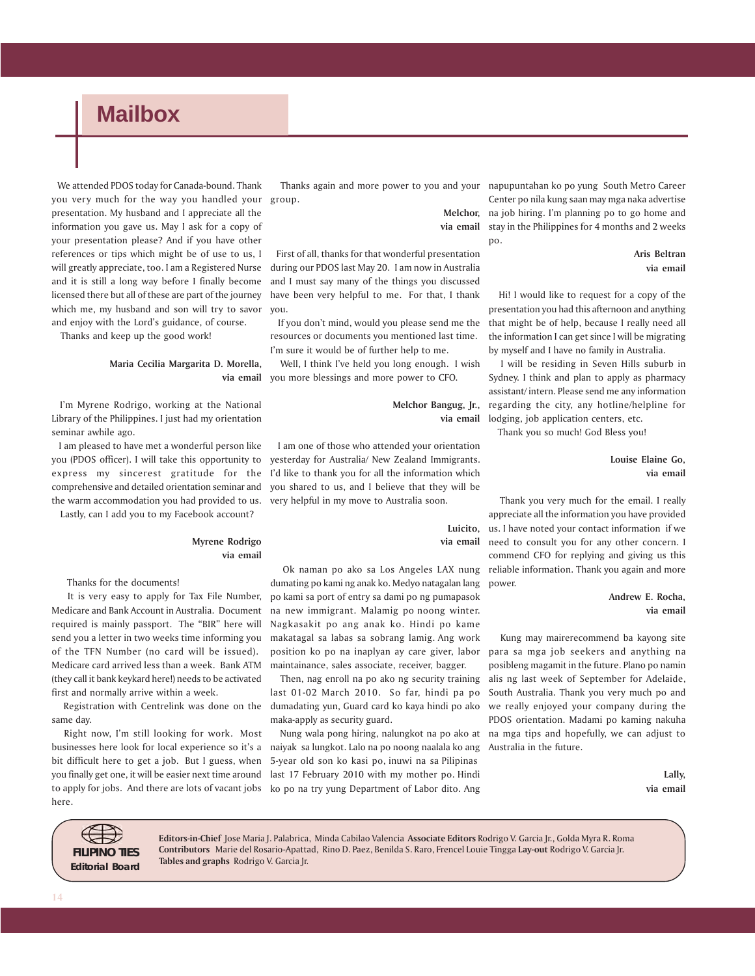### **Mailbox**

 We attended PDOS today for Canada-bound. Thank you very much for the way you handled your group. presentation. My husband and I appreciate all the information you gave us. May I ask for a copy of your presentation please? And if you have other references or tips which might be of use to us, I will greatly appreciate, too. I am a Registered Nurse and it is still a long way before I finally become licensed there but all of these are part of the journey which me, my husband and son will try to savor and enjoy with the Lord's guidance, of course.

Thanks and keep up the good work!

#### **Maria Cecilia Margarita D. Morella, via email**

 I'm Myrene Rodrigo, working at the National Library of the Philippines. I just had my orientation seminar awhile ago.

 I am pleased to have met a wonderful person like you (PDOS officer). I will take this opportunity to express my sincerest gratitude for the comprehensive and detailed orientation seminar and the warm accommodation you had provided to us.

Lastly, can I add you to my Facebook account?

#### **Myrene Rodrigo via email**

Thanks for the documents!

 It is very easy to apply for Tax File Number, Medicare and Bank Account in Australia. Document required is mainly passport. The "BIR" here will send you a letter in two weeks time informing you of the TFN Number (no card will be issued). Medicare card arrived less than a week. Bank ATM (they call it bank keykard here!) needs to be activated first and normally arrive within a week.

 Registration with Centrelink was done on the same day.

 Right now, I'm still looking for work. Most businesses here look for local experience so it's a bit difficult here to get a job. But I guess, when you finally get one, it will be easier next time around to apply for jobs. And there are lots of vacant jobs here.

Thanks again and more power to you and your napupuntahan ko po yung South Metro Career

**via email**

 First of all, thanks for that wonderful presentation during our PDOS last May 20. I am now in Australia and I must say many of the things you discussed have been very helpful to me. For that, I thank you.

 If you don't mind, would you please send me the resources or documents you mentioned last time. I'm sure it would be of further help to me.

 Well, I think I've held you long enough. I wish you more blessings and more power to CFO.

> **Melchor Bangug, Jr., via email**

 I am one of those who attended your orientation yesterday for Australia/ New Zealand Immigrants. I'd like to thank you for all the information which you shared to us, and I believe that they will be very helpful in my move to Australia soon.

> **Luicito, via email**

 Ok naman po ako sa Los Angeles LAX nung dumating po kami ng anak ko. Medyo natagalan lang po kami sa port of entry sa dami po ng pumapasok na new immigrant. Malamig po noong winter. Nagkasakit po ang anak ko. Hindi po kame makatagal sa labas sa sobrang lamig. Ang work position ko po na inaplyan ay care giver, labor maintainance, sales associate, receiver, bagger.

 Then, nag enroll na po ako ng security training last 01-02 March 2010. So far, hindi pa po dumadating yun, Guard card ko kaya hindi po ako maka-apply as security guard.

 Nung wala pong hiring, nalungkot na po ako at naiyak sa lungkot. Lalo na po noong naalala ko ang 5-year old son ko kasi po, inuwi na sa Pilipinas last 17 February 2010 with my mother po. Hindi ko po na try yung Department of Labor dito. Ang

**Melchor,** na job hiring. I'm planning po to go home and Center po nila kung saan may mga naka advertise stay in the Philippines for 4 months and 2 weeks po.

> **Aris Beltran via email**

 Hi! I would like to request for a copy of the presentation you had this afternoon and anything that might be of help, because I really need all the information I can get since I will be migrating by myself and I have no family in Australia.

 I will be residing in Seven Hills suburb in Sydney. I think and plan to apply as pharmacy assistant/ intern. Please send me any information regarding the city, any hotline/helpline for lodging, job application centers, etc.

Thank you so much! God Bless you!

### **Louise Elaine Go, via email**

 Thank you very much for the email. I really appreciate all the information you have provided us. I have noted your contact information if we need to consult you for any other concern. I commend CFO for replying and giving us this reliable information. Thank you again and more power.

### **Andrew E. Rocha, via email**

 Kung may mairerecommend ba kayong site para sa mga job seekers and anything na posibleng magamit in the future. Plano po namin alis ng last week of September for Adelaide, South Australia. Thank you very much po and we really enjoyed your company during the PDOS orientation. Madami po kaming nakuha na mga tips and hopefully, we can adjust to Australia in the future.

> **Lally, via email**



**Editors-in-Chief** Jose Maria J. Palabrica, Minda Cabilao Valencia **Associate Editors** Rodrigo V. Garcia Jr., Golda Myra R. Roma **Contributors** Marie del Rosario-Apattad, Rino D. Paez, Benilda S. Raro, Frencel Louie Tingga **Lay-out** Rodrigo V. Garcia Jr. **Tables and graphs** Rodrigo V. Garcia Jr.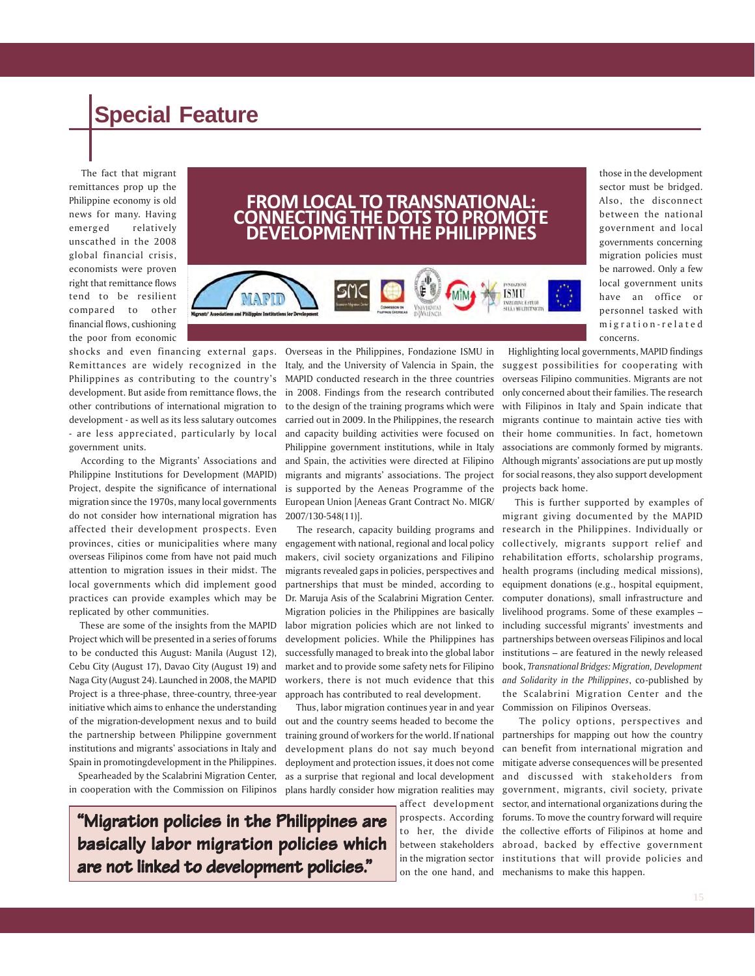The fact that migrant remittances prop up the Philippine economy is old news for many. Having emerged relatively unscathed in the 2008 global financial crisis, economists were proven right that remittance flows tend to be resilient compared to other financial flows, cushioning the poor from economic

### **FROM LOCAL TO TRANSNATIONAL: CONNECTING THE DOTS TO PROMOTE DEVELOPMENT IN THE PHILIPPINES**



shocks and even financing external gaps. Remittances are widely recognized in the Philippines as contributing to the country's development. But aside from remittance flows, the other contributions of international migration to development - as well as its less salutary outcomes - are less appreciated, particularly by local government units.

 According to the Migrants' Associations and Philippine Institutions for Development (MAPID) Project, despite the significance of international migration since the 1970s, many local governments do not consider how international migration has affected their development prospects. Even provinces, cities or municipalities where many overseas Filipinos come from have not paid much attention to migration issues in their midst. The local governments which did implement good practices can provide examples which may be replicated by other communities.

 These are some of the insights from the MAPID Project which will be presented in a series of forums to be conducted this August: Manila (August 12), Cebu City (August 17), Davao City (August 19) and Naga City (August 24). Launched in 2008, the MAPID Project is a three-phase, three-country, three-year initiative which aims to enhance the understanding of the migration-development nexus and to build the partnership between Philippine government institutions and migrants' associations in Italy and Spain in promotingdevelopment in the Philippines.

 Spearheaded by the Scalabrini Migration Center, in cooperation with the Commission on Filipinos

**"Migration policies in the Philippines are basically labor migration policies which are not linked to development policies."** 

Overseas in the Philippines, Fondazione ISMU in Italy, and the University of Valencia in Spain, the MAPID conducted research in the three countries in 2008. Findings from the research contributed to the design of the training programs which were carried out in 2009. In the Philippines, the research and capacity building activities were focused on Philippine government institutions, while in Italy and Spain, the activities were directed at Filipino migrants and migrants' associations. The project is supported by the Aeneas Programme of the European Union [Aeneas Grant Contract No. MIGR/ 2007/130-548(11)].

 The research, capacity building programs and engagement with national, regional and local policy makers, civil society organizations and Filipino migrants revealed gaps in policies, perspectives and partnerships that must be minded, according to Dr. Maruja Asis of the Scalabrini Migration Center. Migration policies in the Philippines are basically labor migration policies which are not linked to development policies. While the Philippines has successfully managed to break into the global labor market and to provide some safety nets for Filipino workers, there is not much evidence that this approach has contributed to real development.

 Thus, labor migration continues year in and year out and the country seems headed to become the training ground of workers for the world. If national development plans do not say much beyond deployment and protection issues, it does not come as a surprise that regional and local development plans hardly consider how migration realities may

affect development prospects. According to her, the divide between stakeholders in the migration sector on the one hand, and

those in the development sector must be bridged. Also, the disconnect between the national government and local governments concerning migration policies must be narrowed. Only a few local government units have an office or personnel tasked with migration-related concerns.

 Highlighting local governments, MAPID findings suggest possibilities for cooperating with overseas Filipino communities. Migrants are not only concerned about their families. The research with Filipinos in Italy and Spain indicate that migrants continue to maintain active ties with their home communities. In fact, hometown associations are commonly formed by migrants. Although migrants' associations are put up mostly for social reasons, they also support development projects back home.

 This is further supported by examples of migrant giving documented by the MAPID research in the Philippines. Individually or collectively, migrants support relief and rehabilitation efforts, scholarship programs, health programs (including medical missions), equipment donations (e.g., hospital equipment, computer donations), small infrastructure and livelihood programs. Some of these examples – including successful migrants' investments and partnerships between overseas Filipinos and local institutions – are featured in the newly released book, *Transnational Bridges: Migration, Development and Solidarity in the Philippines*, co-published by the Scalabrini Migration Center and the Commission on Filipinos Overseas.

 The policy options, perspectives and partnerships for mapping out how the country can benefit from international migration and mitigate adverse consequences will be presented and discussed with stakeholders from government, migrants, civil society, private sector, and international organizations during the forums. To move the country forward will require the collective efforts of Filipinos at home and abroad, backed by effective government institutions that will provide policies and mechanisms to make this happen.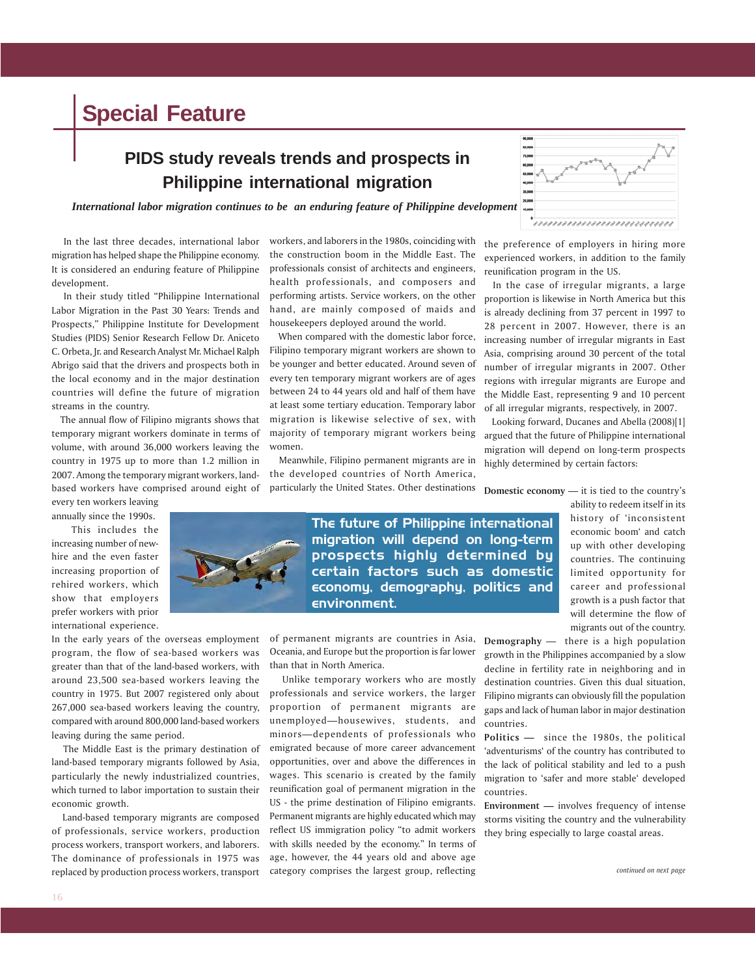### **PIDS study reveals trends and prospects in Philippine international migration**

*International labor migration continues to be an enduring feature of Philippine development*

 In the last three decades, international labor migration has helped shape the Philippine economy. It is considered an enduring feature of Philippine development.

 In their study titled "Philippine International Labor Migration in the Past 30 Years: Trends and Prospects," Philippine Institute for Development Studies (PIDS) Senior Research Fellow Dr. Aniceto C. Orbeta, Jr. and Research Analyst Mr. Michael Ralph Abrigo said that the drivers and prospects both in the local economy and in the major destination countries will define the future of migration streams in the country.

 The annual flow of Filipino migrants shows that temporary migrant workers dominate in terms of volume, with around 36,000 workers leaving the country in 1975 up to more than 1.2 million in 2007. Among the temporary migrant workers, landbased workers have comprised around eight of every ten workers leaving

annually since the 1990s.

 This includes the increasing number of newhire and the even faster increasing proportion of rehired workers, which show that employers prefer workers with prior international experience.

In the early years of the overseas employment program, the flow of sea-based workers was greater than that of the land-based workers, with around 23,500 sea-based workers leaving the country in 1975. But 2007 registered only about 267,000 sea-based workers leaving the country, compared with around 800,000 land-based workers leaving during the same period.

 The Middle East is the primary destination of land-based temporary migrants followed by Asia, particularly the newly industrialized countries, which turned to labor importation to sustain their economic growth.

 Land-based temporary migrants are composed of professionals, service workers, production process workers, transport workers, and laborers. The dominance of professionals in 1975 was replaced by production process workers, transport

workers, and laborers in the 1980s, coinciding with the construction boom in the Middle East. The professionals consist of architects and engineers, health professionals, and composers and performing artists. Service workers, on the other hand, are mainly composed of maids and housekeepers deployed around the world.

 When compared with the domestic labor force, Filipino temporary migrant workers are shown to be younger and better educated. Around seven of every ten temporary migrant workers are of ages between 24 to 44 years old and half of them have at least some tertiary education. Temporary labor migration is likewise selective of sex, with majority of temporary migrant workers being women.

 Meanwhile, Filipino permanent migrants are in the developed countries of North America, particularly the United States. Other destinations 90,000 79,000<br>79,000<br>69,000<br>69,000 ,,,,,,,,,,,,,,,,,,,,,,,,,,,,,,

the preference of employers in hiring more experienced workers, in addition to the family reunification program in the US.

 In the case of irregular migrants, a large proportion is likewise in North America but this is already declining from 37 percent in 1997 to 28 percent in 2007. However, there is an increasing number of irregular migrants in East Asia, comprising around 30 percent of the total number of irregular migrants in 2007. Other regions with irregular migrants are Europe and the Middle East, representing 9 and 10 percent of all irregular migrants, respectively, in 2007.

 Looking forward, Ducanes and Abella (2008)[1] argued that the future of Philippine international migration will depend on long-term prospects highly determined by certain factors:

**Domestic economy** — it is tied to the country's

ability to redeem itself in its history of 'inconsistent economic boom' and catch up with other developing countries. The continuing limited opportunity for career and professional growth is a push factor that will determine the flow of migrants out of the country.

**Demography** — there is a high population growth in the Philippines accompanied by a slow decline in fertility rate in neighboring and in destination countries. Given this dual situation, Filipino migrants can obviously fill the population gaps and lack of human labor in major destination countries.

**Politics —** since the 1980s, the political 'adventurisms' of the country has contributed to the lack of political stability and led to a push migration to 'safer and more stable' developed countries.

**Environment —** involves frequency of intense storms visiting the country and the vulnerability they bring especially to large coastal areas.



migration will depend on long-term prospects highly determined by certain factors such as domestic economy, demography, politics and environment.

of permanent migrants are countries in Asia, Oceania, and Europe but the proportion is far lower than that in North America.

 Unlike temporary workers who are mostly professionals and service workers, the larger proportion of permanent migrants are unemployed—housewives, students, and minors—dependents of professionals who emigrated because of more career advancement opportunities, over and above the differences in wages. This scenario is created by the family reunification goal of permanent migration in the US - the prime destination of Filipino emigrants. Permanent migrants are highly educated which may reflect US immigration policy "to admit workers with skills needed by the economy." In terms of age, however, the 44 years old and above age category comprises the largest group, reflecting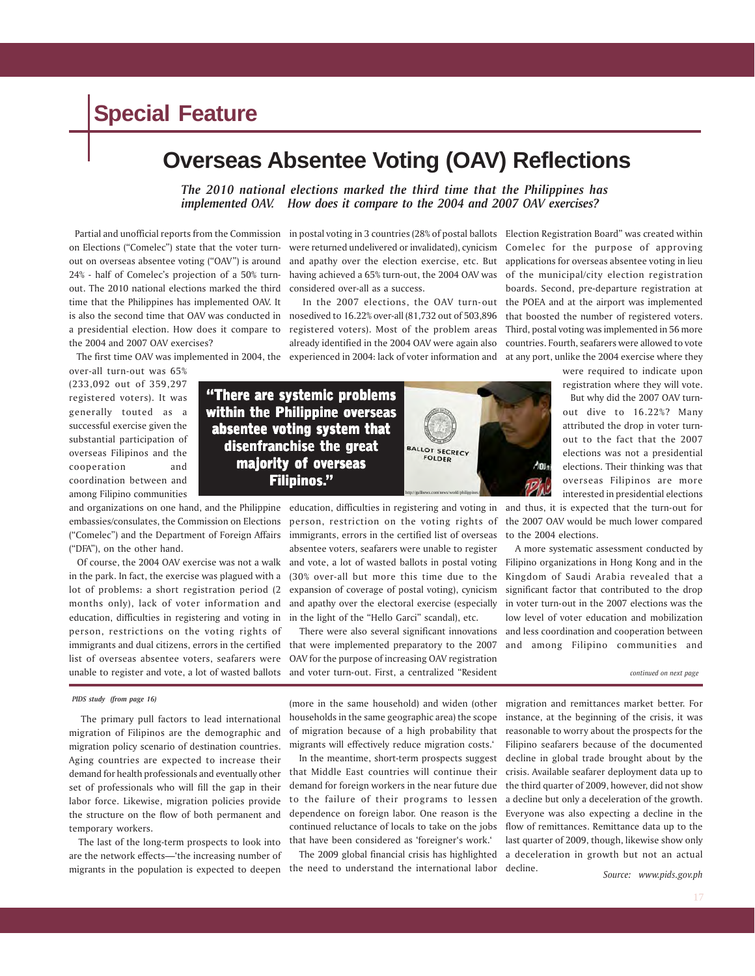### **Overseas Absentee Voting (OAV) Reflections**

*The 2010 national elections marked the third time that the Philippines has implemented OAV. How does it compare to the 2004 and 2007 OAV exercises?*

 Partial and unofficial reports from the Commission on Elections ("Comelec") state that the voter turnout on overseas absentee voting ("OAV") is around 24% - half of Comelec's projection of a 50% turnout. The 2010 national elections marked the third time that the Philippines has implemented OAV. It is also the second time that OAV was conducted in nosedived to 16.22% over-all (81,732 out of 503,896 that boosted the number of registered voters. a presidential election. How does it compare to the 2004 and 2007 OAV exercises?

over-all turn-out was 65% (233,092 out of 359,297 registered voters). It was generally touted as a successful exercise given the substantial participation of overseas Filipinos and the cooperation and coordination between and among Filipino communities

and organizations on one hand, and the Philippine embassies/consulates, the Commission on Elections ("Comelec") and the Department of Foreign Affairs ("DFA"), on the other hand.

 Of course, the 2004 OAV exercise was not a walk in the park. In fact, the exercise was plagued with a lot of problems: a short registration period (2 months only), lack of voter information and education, difficulties in registering and voting in person, restrictions on the voting rights of immigrants and dual citizens, errors in the certified list of overseas absentee voters, seafarers were unable to register and vote, a lot of wasted ballots

#### *PIDS study (from page 16)*

 The primary pull factors to lead international migration of Filipinos are the demographic and migration policy scenario of destination countries. Aging countries are expected to increase their demand for health professionals and eventually other set of professionals who will fill the gap in their labor force. Likewise, migration policies provide the structure on the flow of both permanent and temporary workers.

 The last of the long-term prospects to look into are the network effects—'the increasing number of migrants in the population is expected to deepen

in postal voting in 3 countries (28% of postal ballots Election Registration Board" was created within were returned undelivered or invalidated), cynicism and apathy over the election exercise, etc. But applications for overseas absentee voting in lieu having achieved a 65% turn-out, the 2004 OAV was of the municipal/city election registration considered over-all as a success.

The first time OAV was implemented in 2004, the experienced in 2004: lack of voter information and at any port, unlike the 2004 exercise where they registered voters). Most of the problem areas Third, postal voting was implemented in 56 more already identified in the 2004 OAV were again also

 In the 2007 elections, the OAV turn-out the POEA and at the airport was implemented Comelec for the purpose of approving boards. Second, pre-departure registration at countries. Fourth, seafarers were allowed to vote

> were required to indicate upon registration where they will vote. But why did the 2007 OAV turnout dive to 16.22%? Many attributed the drop in voter turnout to the fact that the 2007 elections was not a presidential elections. Their thinking was that overseas Filipinos are more

"There are systemic problems within the Philippine overseas absentee voting system that disenfranchise the great majority of overseas Filipinos."



person, restriction on the voting rights of immigrants, errors in the certified list of overseas to the 2004 elections. absentee voters, seafarers were unable to register and vote, a lot of wasted ballots in postal voting (30% over-all but more this time due to the expansion of coverage of postal voting), cynicism and apathy over the electoral exercise (especially in the light of the "Hello Garci" scandal), etc.

 There were also several significant innovations that were implemented preparatory to the 2007 OAV for the purpose of increasing OAV registration and voter turn-out. First, a centralized "Resident

education, difficulties in registering and voting in and thus, it is expected that the turn-out for interested in presidential elections the 2007 OAV would be much lower compared

> A more systematic assessment conducted by Filipino organizations in Hong Kong and in the Kingdom of Saudi Arabia revealed that a significant factor that contributed to the drop in voter turn-out in the 2007 elections was the low level of voter education and mobilization and less coordination and cooperation between and among Filipino communities and

> > *continued on next page*

(more in the same household) and widen (other households in the same geographic area) the scope of migration because of a high probability that migrants will effectively reduce migration costs.'

 In the meantime, short-term prospects suggest that Middle East countries will continue their demand for foreign workers in the near future due to the failure of their programs to lessen dependence on foreign labor. One reason is the continued reluctance of locals to take on the jobs that have been considered as 'foreigner's work.'

 The 2009 global financial crisis has highlighted the need to understand the international labor

migration and remittances market better. For instance, at the beginning of the crisis, it was reasonable to worry about the prospects for the Filipino seafarers because of the documented decline in global trade brought about by the crisis. Available seafarer deployment data up to the third quarter of 2009, however, did not show a decline but only a deceleration of the growth. Everyone was also expecting a decline in the flow of remittances. Remittance data up to the last quarter of 2009, though, likewise show only a deceleration in growth but not an actual decline.

*Source: www.pids.gov.ph*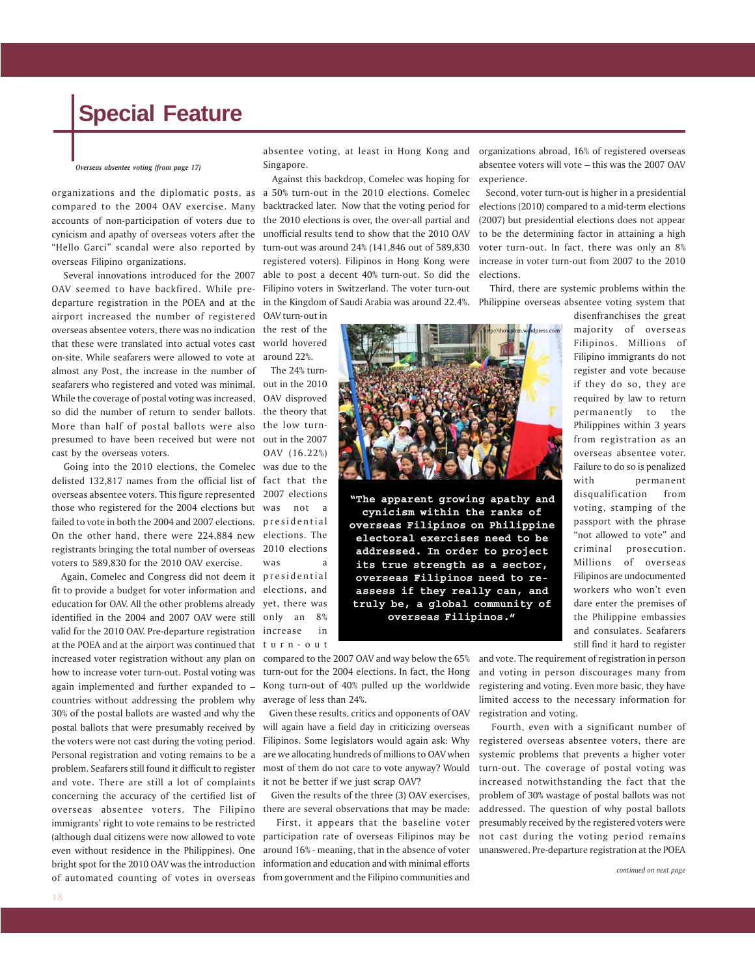*Overseas absentee voting (from page 17)*

cynicism and apathy of overseas voters after the "Hello Garci" scandal were also reported by overseas Filipino organizations.

 Several innovations introduced for the 2007 OAV seemed to have backfired. While pre-Filipino voters in Switzerland. The voter turn-out departure registration in the POEA and at the in the Kingdom of Saudi Arabia was around 22.4%. airport increased the number of registered OAV turn-out in overseas absentee voters, there was no indication the rest of the that these were translated into actual votes cast world hovered on-site. While seafarers were allowed to vote at almost any Post, the increase in the number of seafarers who registered and voted was minimal. out in the 2010 While the coverage of postal voting was increased, so did the number of return to sender ballots. the theory that More than half of postal ballots were also the low turnpresumed to have been received but were not out in the 2007 cast by the overseas voters.

 Going into the 2010 elections, the Comelec was due to the delisted 132,817 names from the official list of fact that the overseas absentee voters. This figure represented those who registered for the 2004 elections but failed to vote in both the 2004 and 2007 elections. presidential On the other hand, there were 224,884 new elections. The registrants bringing the total number of overseas 2010 elections voters to 589,830 for the 2010 OAV exercise.

 Again, Comelec and Congress did not deem it presidential fit to provide a budget for voter information and elections, and education for OAV. All the other problems already yet, there was identified in the 2004 and 2007 OAV were still valid for the 2010 OAV. Pre-departure registration at the POEA and at the airport was continued that increased voter registration without any plan on compared to the 2007 OAV and way below the 65% how to increase voter turn-out. Postal voting was again implemented and further expanded to – countries without addressing the problem why 30% of the postal ballots are wasted and why the postal ballots that were presumably received by the voters were not cast during the voting period. Personal registration and voting remains to be a problem. Seafarers still found it difficult to register and vote. There are still a lot of complaints it not be better if we just scrap OAV? concerning the accuracy of the certified list of overseas absentee voters. The Filipino there are several observations that may be made: immigrants' right to vote remains to be restricted even without residence in the Philippines). One bright spot for the 2010 OAV was the introduction

absentee voting, at least in Hong Kong and organizations abroad, 16% of registered overseas Singapore.

organizations and the diplomatic posts, as a 50% turn-out in the 2010 elections. Comelec compared to the 2004 OAV exercise. Many backtracked later. Now that the voting period for accounts of non-participation of voters due to the 2010 elections is over, the over-all partial and Against this backdrop, Comelec was hoping for unofficial results tend to show that the 2010 OAV turn-out was around 24% (141,846 out of 589,830 registered voters). Filipinos in Hong Kong were able to post a decent 40% turn-out. So did the

around 22%.

 The 24% turn-OAV disproved OAV (16.22%) 2007 elections was not a was a

only an 8% increase in turn-out



turn-out for the 2004 elections. In fact, the Hong Kong turn-out of 40% pulled up the worldwide average of less than 24%.

 Given these results, critics and opponents of OAV will again have a field day in criticizing overseas Filipinos. Some legislators would again ask: Why are we allocating hundreds of millions to OAV when most of them do not care to vote anyway? Would

Given the results of the three (3) OAV exercises,

(although dual citizens were now allowed to vote participation rate of overseas Filipinos may be of automated counting of votes in overseas from government and the Filipino communities and First, it appears that the baseline voter around 16% - meaning, that in the absence of voter information and education and with minimal efforts

absentee voters will vote – this was the 2007 OAV experience.

 Second, voter turn-out is higher in a presidential elections (2010) compared to a mid-term elections (2007) but presidential elections does not appear to be the determining factor in attaining a high voter turn-out. In fact, there was only an 8% increase in voter turn-out from 2007 to the 2010 elections.

 Third, there are systemic problems within the Philippine overseas absentee voting system that

> disenfranchises the great majority of overseas Filipinos. Millions of Filipino immigrants do not register and vote because if they do so, they are required by law to return permanently to the Philippines within 3 years from registration as an overseas absentee voter. Failure to do so is penalized with permanent disqualification from voting, stamping of the passport with the phrase "not allowed to vote" and criminal prosecution. Millions of overseas Filipinos are undocumented workers who won't even dare enter the premises of the Philippine embassies and consulates. Seafarers still find it hard to register

and vote. The requirement of registration in person and voting in person discourages many from registering and voting. Even more basic, they have limited access to the necessary information for registration and voting.

 Fourth, even with a significant number of registered overseas absentee voters, there are systemic problems that prevents a higher voter turn-out. The coverage of postal voting was increased notwithstanding the fact that the problem of 30% wastage of postal ballots was not addressed. The question of why postal ballots presumably received by the registered voters were not cast during the voting period remains unanswered. Pre-departure registration at the POEA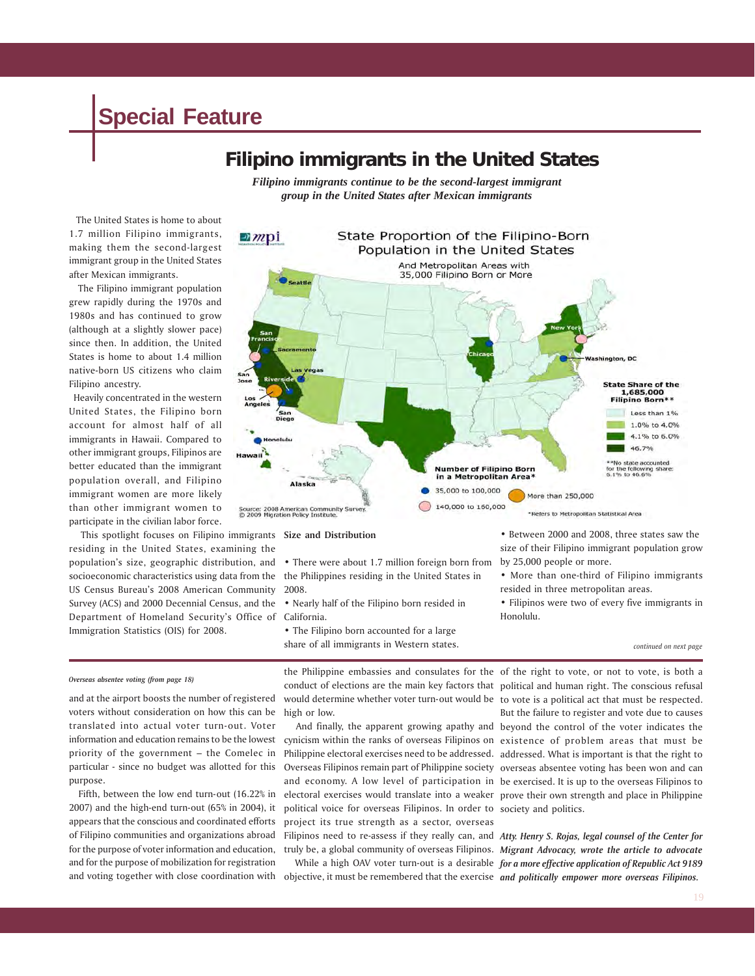### **Filipino immigrants in the United States**

*Filipino immigrants continue to be the second-largest immigrant group in the United States after Mexican immigrants*

 The United States is home to about 1.7 million Filipino immigrants, making them the second-largest immigrant group in the United States after Mexican immigrants.

 The Filipino immigrant population grew rapidly during the 1970s and 1980s and has continued to grow (although at a slightly slower pace) since then. In addition, the United States is home to about 1.4 million native-born US citizens who claim Filipino ancestry.

 Heavily concentrated in the western United States, the Filipino born account for almost half of all immigrants in Hawaii. Compared to other immigrant groups, Filipinos are better educated than the immigrant population overall, and Filipino immigrant women are more likely than other immigrant women to participate in the civilian labor force.

 This spotlight focuses on Filipino immigrants **Size and Distribution** residing in the United States, examining the population's size, geographic distribution, and socioeconomic characteristics using data from the the Philippines residing in the United States in US Census Bureau's 2008 American Community Survey (ACS) and 2000 Decennial Census, and the Department of Homeland Security's Office of California. Immigration Statistics (OIS) for 2008.



• There were about 1.7 million foreign born from 2008.

• Nearly half of the Filipino born resided in

• The Filipino born accounted for a large share of all immigrants in Western states. • Between 2000 and 2008, three states saw the size of their Filipino immigrant population grow by 25,000 people or more.

• More than one-third of Filipino immigrants resided in three metropolitan areas.

• Filipinos were two of every five immigrants in Honolulu.

and at the airport boosts the number of registered voters without consideration on how this can be translated into actual voter turn-out. Voter information and education remains to be the lowest priority of the government – the Comelec in particular - since no budget was allotted for this purpose.

 Fifth, between the low end turn-out (16.22% in 2007) and the high-end turn-out (65% in 2004), it appears that the conscious and coordinated efforts for the purpose of voter information and education, and for the purpose of mobilization for registration

*Overseas absentee voting (from page 18)* the Philippine embassies and consulates for the of the right to vote, or not to vote, is both a<br>Overseas absentee voting *(from page 18)* conduct of elections are the main key factors that political and human right. The conscious refusal would determine whether voter turn-out would be to vote is a political act that must be respected. high or low.

of Filipino communities and organizations abroad Filipinos need to re-assess if they really can, and Atty. Henry S. Rojas, legal counsel of the Center for And finally, the apparent growing apathy and beyond the control of the voter indicates the cynicism within the ranks of overseas Filipinos on existence of problem areas that must be Philippine electoral exercises need to be addressed. addressed. What is important is that the right to Overseas Filipinos remain part of Philippine society overseas absentee voting has been won and can and economy. A low level of participation in be exercised. It is up to the overseas Filipinos to electoral exercises would translate into a weaker prove their own strength and place in Philippine political voice for overseas Filipinos. In order to society and politics. project its true strength as a sector, overseas truly be, a global community of overseas Filipinos. *Migrant Advocacy, wrote the article to advocate*

and voting together with close coordination with objective, it must be remembered that the exercise and politically empower more overseas Filipinos. While a high OAV voter turn-out is a desirable *for a more effective application of Republic Act 9189*

But the failure to register and vote due to causes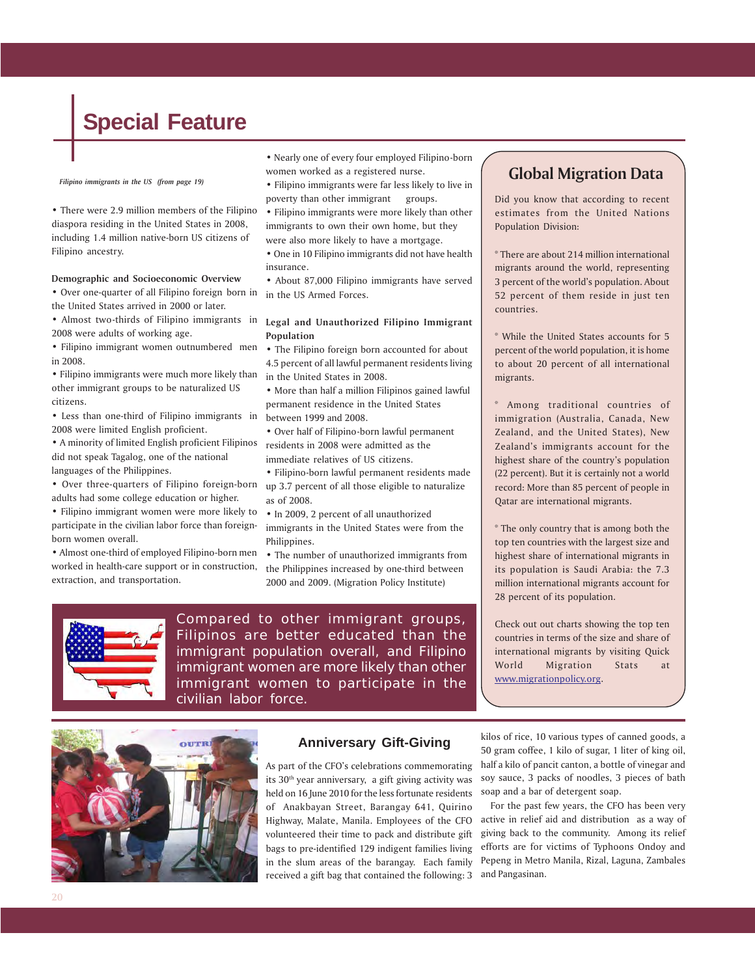*Filipino immigrants in the US (from page 19)*

• There were 2.9 million members of the Filipino diaspora residing in the United States in 2008, including 1.4 million native-born US citizens of Filipino ancestry.

#### **Demographic and Socioeconomic Overview**

• Over one-quarter of all Filipino foreign born in the United States arrived in 2000 or later.

• Almost two-thirds of Filipino immigrants in **Legal and Unauthorized Filipino Immigrant** 2008 were adults of working age.

• Filipino immigrant women outnumbered men in 2008.

• Filipino immigrants were much more likely than other immigrant groups to be naturalized US citizens.

• Less than one-third of Filipino immigrants in 2008 were limited English proficient.

• A minority of limited English proficient Filipinos did not speak Tagalog, one of the national languages of the Philippines.

• Over three-quarters of Filipino foreign-born adults had some college education or higher.

• Filipino immigrant women were more likely to participate in the civilian labor force than foreignborn women overall.

• Almost one-third of employed Filipino-born men worked in health-care support or in construction, extraction, and transportation.

- Nearly one of every four employed Filipino-born women worked as a registered nurse.
- Filipino immigrants were far less likely to live in poverty than other immigrant groups.
- Filipino immigrants were more likely than other immigrants to own their own home, but they were also more likely to have a mortgage.
- One in 10 Filipino immigrants did not have health insurance.

• About 87,000 Filipino immigrants have served in the US Armed Forces.

### **Population**

• The Filipino foreign born accounted for about 4.5 percent of all lawful permanent residents living in the United States in 2008.

• More than half a million Filipinos gained lawful permanent residence in the United States between 1999 and 2008.

• Over half of Filipino-born lawful permanent residents in 2008 were admitted as the immediate relatives of US citizens.

• Filipino-born lawful permanent residents made up 3.7 percent of all those eligible to naturalize as of 2008.

• In 2009, 2 percent of all unauthorized immigrants in the United States were from the Philippines.

• The number of unauthorized immigrants from the Philippines increased by one-third between 2000 and 2009. (Migration Policy Institute)



Compared to other immigrant groups, Filipinos are better educated than the immigrant population overall, and Filipino immigrant women are more likely than other immigrant women to participate in the civilian labor force.

### **Global Migration Data**

Did you know that according to recent estimates from the United Nations Population Division:

\* There are about 214 million international migrants around the world, representing 3 percent of the world's population. About 52 percent of them reside in just ten countries.

\* While the United States accounts for 5 percent of the world population, it is home to about 20 percent of all international migrants.

\* Among traditional countries of immigration (Australia, Canada, New Zealand, and the United States), New Zealand's immigrants account for the highest share of the country's population (22 percent). But it is certainly not a world record: More than 85 percent of people in Qatar are international migrants.

\* The only country that is among both the top ten countries with the largest size and highest share of international migrants in its population is Saudi Arabia: the 7.3 million international migrants account for 28 percent of its population.

Check out out charts showing the top ten countries in terms of the size and share of international migrants by visiting Quick World Migration Stats at www.migrationpolicy.org.



### **Anniversary Gift-Giving**

As part of the CFO's celebrations commemorating its 30<sup>th</sup> year anniversary, a gift giving activity was held on 16 June 2010 for the less fortunate residents of Anakbayan Street, Barangay 641, Quirino Highway, Malate, Manila. Employees of the CFO volunteered their time to pack and distribute gift bags to pre-identified 129 indigent families living in the slum areas of the barangay. Each family received a gift bag that contained the following: 3 and Pangasinan.

kilos of rice, 10 various types of canned goods, a 50 gram coffee, 1 kilo of sugar, 1 liter of king oil, half a kilo of pancit canton, a bottle of vinegar and soy sauce, 3 packs of noodles, 3 pieces of bath soap and a bar of detergent soap.

 For the past few years, the CFO has been very active in relief aid and distribution as a way of giving back to the community. Among its relief efforts are for victims of Typhoons Ondoy and Pepeng in Metro Manila, Rizal, Laguna, Zambales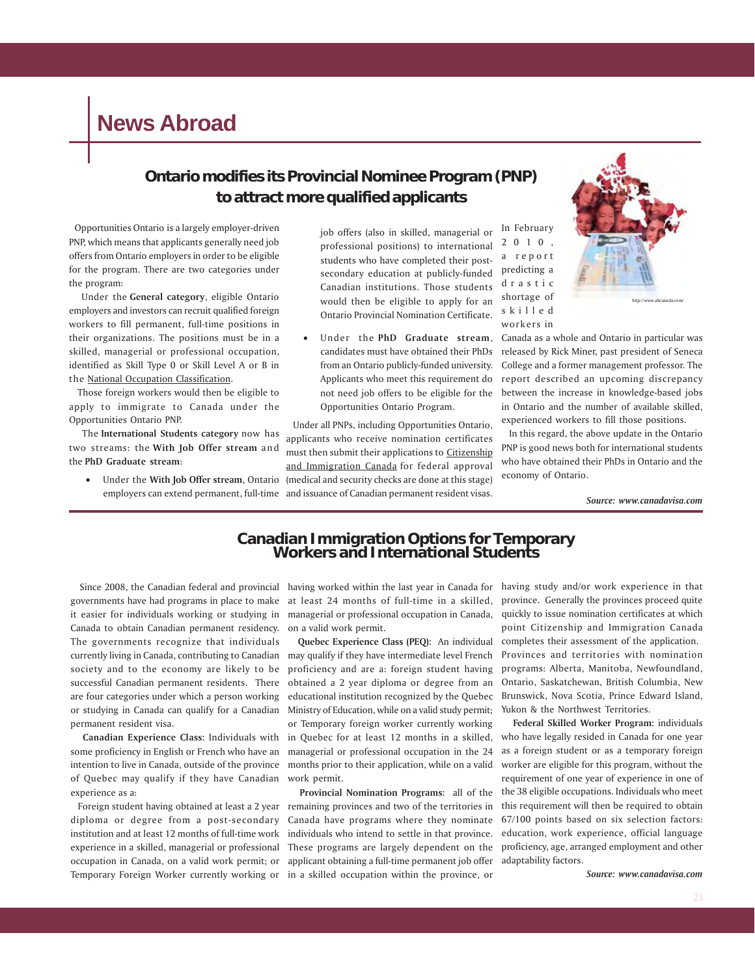### **News Abroad**

### **Ontario modifies its Provincial Nominee Program (PNP) to attract more qualified applicants**

 Opportunities Ontario is a largely employer-driven PNP, which means that applicants generally need job offers from Ontario employers in order to be eligible for the program. There are two categories under the program:

 Under the **General category**, eligible Ontario employers and investors can recruit qualified foreign workers to fill permanent, full-time positions in their organizations. The positions must be in a skilled, managerial or professional occupation, identified as Skill Type 0 or Skill Level A or B in the National Occupation Classification.

 Those foreign workers would then be eligible to apply to immigrate to Canada under the Opportunities Ontario PNP.

 The **International Students category** now has two streams: the **With Job Offer stream** and the **PhD Graduate stream**:

job offers (also in skilled, managerial or professional positions) to international students who have completed their postsecondary education at publicly-funded Canadian institutions. Those students would then be eligible to apply for an Ontario Provincial Nomination Certificate.

• Under the **PhD Graduate stream**, candidates must have obtained their PhDs from an Ontario publicly-funded university. Applicants who meet this requirement do not need job offers to be eligible for the Opportunities Ontario Program.

• Under the **With Job Offer stream**, Ontario (medical and security checks are done at this stage) employers can extend permanent, full-time and issuance of Canadian permanent resident visas. Under all PNPs, including Opportunities Ontario, applicants who receive nomination certificates must then submit their applications to Citizenship and Immigration Canada for federal approval

In February 2010, a report predicting a drastic shortage of skilled workers in



http://www.akcanada.com/

Canada as a whole and Ontario in particular was released by Rick Miner, past president of Seneca College and a former management professor. The report described an upcoming discrepancy between the increase in knowledge-based jobs in Ontario and the number of available skilled, experienced workers to fill those positions.

 In this regard, the above update in the Ontario PNP is good news both for international students who have obtained their PhDs in Ontario and the economy of Ontario.

 *Source: www.canadavisa.com*

# **Canadian Immigration Options for Temporary Workers and International Students**

 Since 2008, the Canadian federal and provincial governments have had programs in place to make it easier for individuals working or studying in Canada to obtain Canadian permanent residency. The governments recognize that individuals currently living in Canada, contributing to Canadian society and to the economy are likely to be successful Canadian permanent residents. There are four categories under which a person working or studying in Canada can qualify for a Canadian permanent resident visa.

 **Canadian Experience Class:** Individuals with some proficiency in English or French who have an intention to live in Canada, outside of the province of Quebec may qualify if they have Canadian experience as a:

 Foreign student having obtained at least a 2 year diploma or degree from a post-secondary institution and at least 12 months of full-time work experience in a skilled, managerial or professional occupation in Canada, on a valid work permit; or Temporary Foreign Worker currently working or in a skilled occupation within the province, or

having worked within the last year in Canada for having study and/or work experience in that at least 24 months of full-time in a skilled, province. Generally the provinces proceed quite managerial or professional occupation in Canada, on a valid work permit.

 **Quebec Experience Class (PEQ):** An individual may qualify if they have intermediate level French proficiency and are a: foreign student having obtained a 2 year diploma or degree from an educational institution recognized by the Quebec Ministry of Education, while on a valid study permit; or Temporary foreign worker currently working in Quebec for at least 12 months in a skilled, managerial or professional occupation in the 24 months prior to their application, while on a valid work permit.

 **Provincial Nomination Programs:** all of the remaining provinces and two of the territories in Canada have programs where they nominate individuals who intend to settle in that province. These programs are largely dependent on the applicant obtaining a full-time permanent job offer

quickly to issue nomination certificates at which point Citizenship and Immigration Canada completes their assessment of the application. Provinces and territories with nomination programs: Alberta, Manitoba, Newfoundland, Ontario, Saskatchewan, British Columbia, New Brunswick, Nova Scotia, Prince Edward Island, Yukon & the Northwest Territories.

 **Federal Skilled Worker Program:** individuals who have legally resided in Canada for one year as a foreign student or as a temporary foreign worker are eligible for this program, without the requirement of one year of experience in one of the 38 eligible occupations. Individuals who meet this requirement will then be required to obtain 67/100 points based on six selection factors: education, work experience, official language proficiency, age, arranged employment and other adaptability factors.

 *Source: www.canadavisa.com*